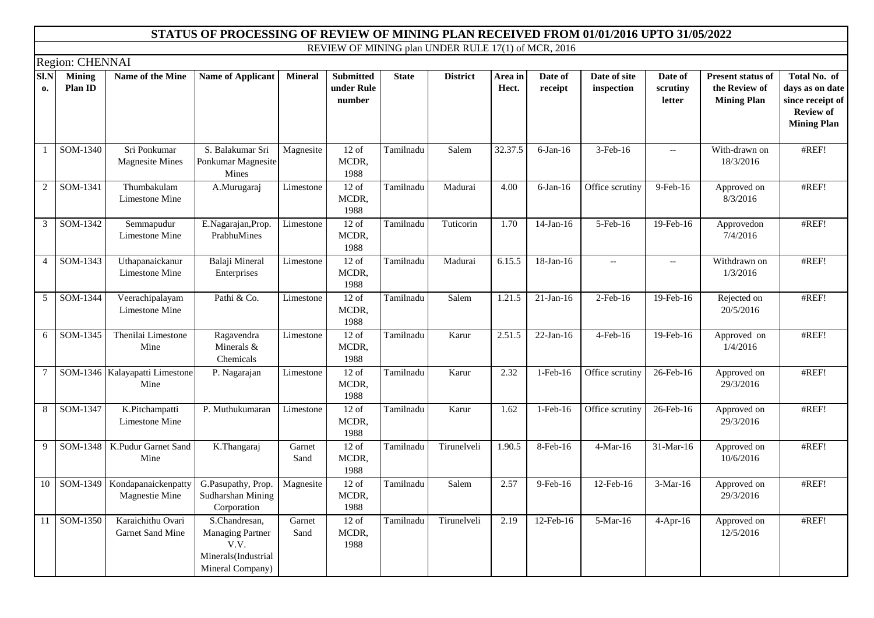|                |                          |                                              | STATUS OF PROCESSING OF REVIEW OF MINING PLAN RECEIVED FROM 01/01/2016 UPTO 31/05/2022      |                |                                          |              |                                                     |                  |                    |                            |                                                     |                                                                 |                                                                                               |
|----------------|--------------------------|----------------------------------------------|---------------------------------------------------------------------------------------------|----------------|------------------------------------------|--------------|-----------------------------------------------------|------------------|--------------------|----------------------------|-----------------------------------------------------|-----------------------------------------------------------------|-----------------------------------------------------------------------------------------------|
|                |                          |                                              |                                                                                             |                |                                          |              | REVIEW OF MINING plan UNDER RULE 17(1) of MCR, 2016 |                  |                    |                            |                                                     |                                                                 |                                                                                               |
|                | Region: CHENNAI          |                                              |                                                                                             |                |                                          |              |                                                     |                  |                    |                            |                                                     |                                                                 |                                                                                               |
| SI.N<br>0.     | <b>Mining</b><br>Plan ID | Name of the Mine                             | <b>Name of Applicant</b>                                                                    | <b>Mineral</b> | <b>Submitted</b><br>under Rule<br>number | <b>State</b> | <b>District</b>                                     | Area in<br>Hect. | Date of<br>receipt | Date of site<br>inspection | Date of<br>scrutiny<br>letter                       | <b>Present status of</b><br>the Review of<br><b>Mining Plan</b> | Total No. of<br>days as on date<br>since receipt of<br><b>Review of</b><br><b>Mining Plan</b> |
| -1             | $SOM-1340$               | Sri Ponkumar<br><b>Magnesite Mines</b>       | S. Balakumar Sri<br>Ponkumar Magnesite<br>Mines                                             | Magnesite      | $12$ of<br>MCDR,<br>1988                 | Tamilnadu    | Salem                                               | 32.37.5          | $6-Jan-16$         | 3-Feb-16                   | $\hspace{0.05cm} -\hspace{0.05cm} -\hspace{0.05cm}$ | With-drawn on<br>18/3/2016                                      | #REF!                                                                                         |
| 2              | SOM-1341                 | Thumbakulam<br>Limestone Mine                | A.Murugaraj                                                                                 | Limestone      | $12$ of<br>MCDR,<br>1988                 | Tamilnadu    | Madurai                                             | 4.00             | $6$ -Jan-16        | Office scrutiny            | 9-Feb-16                                            | Approved on<br>8/3/2016                                         | #REF!                                                                                         |
| 3              | SOM-1342                 | Semmapudur<br>Limestone Mine                 | E.Nagarajan, Prop.<br>PrabhuMines                                                           | Limestone      | $12$ of<br>MCDR,<br>1988                 | Tamilnadu    | Tuticorin                                           | 1.70             | $14-Jan-16$        | 5-Feb-16                   | 19-Feb-16                                           | Approvedon<br>7/4/2016                                          | #REF!                                                                                         |
| $\overline{4}$ | SOM-1343                 | Uthapanaickanur<br>Limestone Mine            | Balaji Mineral<br>Enterprises                                                               | Limestone      | $12$ of<br>MCDR,<br>1988                 | Tamilnadu    | Madurai                                             | 6.15.5           | 18-Jan-16          | $\overline{\phantom{a}}$   | $\hspace{0.05cm} -\hspace{0.05cm} -\hspace{0.05cm}$ | Withdrawn on<br>1/3/2016                                        | #REF!                                                                                         |
| 5              | SOM-1344                 | Veerachipalayam<br>Limestone Mine            | Pathi & Co.                                                                                 | Limestone      | $12$ of<br>MCDR,<br>1988                 | Tamilnadu    | Salem                                               | 1.21.5           | $21-Jan-16$        | $2$ -Feb-16                | 19-Feb-16                                           | Rejected on<br>20/5/2016                                        | #REF!                                                                                         |
| 6              | SOM-1345                 | Thenilai Limestone<br>Mine                   | Ragavendra<br>Minerals &<br>Chemicals                                                       | Limestone      | $12$ of<br>MCDR,<br>1988                 | Tamilnadu    | Karur                                               | 2.51.5           | $22-Jan-16$        | 4-Feb-16                   | 19-Feb-16                                           | Approved on<br>1/4/2016                                         | #REF!                                                                                         |
| $\tau$         |                          | SOM-1346 Kalayapatti Limestone<br>Mine       | P. Nagarajan                                                                                | Limestone      | $12$ of<br>MCDR,<br>1988                 | Tamilnadu    | Karur                                               | 2.32             | 1-Feb-16           | Office scrutiny            | 26-Feb-16                                           | Approved on<br>29/3/2016                                        | #REF!                                                                                         |
| 8              | SOM-1347                 | K.Pitchampatti<br>Limestone Mine             | P. Muthukumaran                                                                             | Limestone      | $12$ of<br>MCDR,<br>1988                 | Tamilnadu    | Karur                                               | 1.62             | 1-Feb-16           | Office scrutiny            | 26-Feb-16                                           | Approved on<br>29/3/2016                                        | #REF!                                                                                         |
| 9              | SOM-1348                 | K.Pudur Garnet Sand<br>Mine                  | K.Thangaraj                                                                                 | Garnet<br>Sand | $12$ of<br>MCDR,<br>1988                 | Tamilnadu    | Tirunelveli                                         | 1.90.5           | 8-Feb-16           | $4-Mar-16$                 | 31-Mar-16                                           | Approved on<br>10/6/2016                                        | #REF!                                                                                         |
| 10             | SOM-1349                 | Kondapanaickenpatty<br><b>Magnestie Mine</b> | G.Pasupathy, Prop.<br>Sudharshan Mining<br>Corporation                                      | Magnesite      | $12$ of<br>MCDR,<br>1988                 | Tamilnadu    | Salem                                               | 2.57             | 9-Feb-16           | 12-Feb-16                  | $3-Mar-16$                                          | Approved on<br>29/3/2016                                        | #REF!                                                                                         |
| 11             | SOM-1350                 | Karaichithu Ovari<br>Garnet Sand Mine        | S.Chandresan,<br><b>Managing Partner</b><br>V.V.<br>Minerals(Industrial<br>Mineral Company) | Garnet<br>Sand | $12$ of<br>MCDR,<br>1988                 | Tamilnadu    | Tirunelveli                                         | 2.19             | 12-Feb-16          | 5-Mar-16                   | $4-Apr-16$                                          | Approved on<br>12/5/2016                                        | #REF!                                                                                         |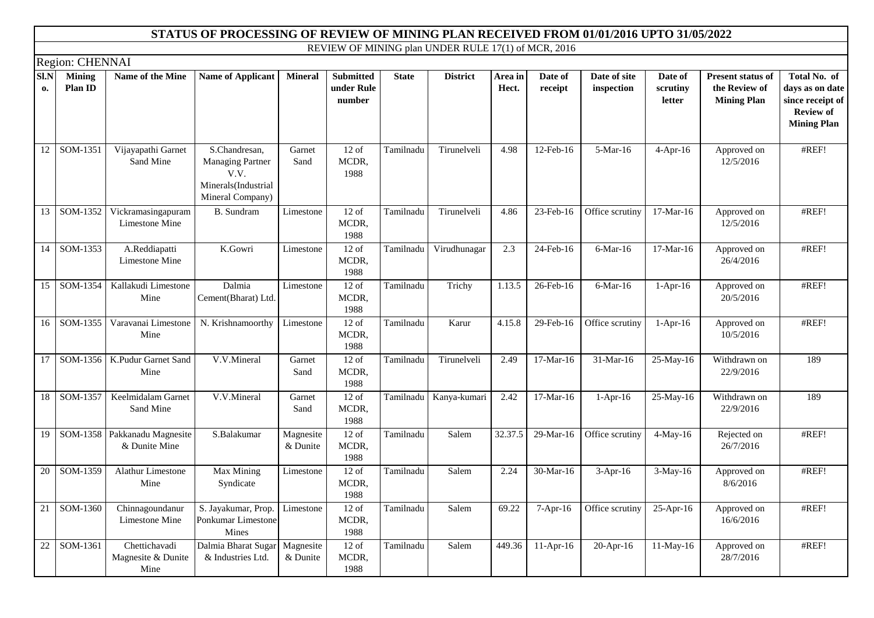|            |                          |                                             | STATUS OF PROCESSING OF REVIEW OF MINING PLAN RECEIVED FROM 01/01/2016 UPTO 31/05/2022      |                       |                                          |              |                                                     |                  |                    |                            |                               |                                                                 |                                                                                               |
|------------|--------------------------|---------------------------------------------|---------------------------------------------------------------------------------------------|-----------------------|------------------------------------------|--------------|-----------------------------------------------------|------------------|--------------------|----------------------------|-------------------------------|-----------------------------------------------------------------|-----------------------------------------------------------------------------------------------|
|            |                          |                                             |                                                                                             |                       |                                          |              | REVIEW OF MINING plan UNDER RULE 17(1) of MCR, 2016 |                  |                    |                            |                               |                                                                 |                                                                                               |
|            | Region: CHENNAI          |                                             |                                                                                             |                       |                                          |              |                                                     |                  |                    |                            |                               |                                                                 |                                                                                               |
| SI.N<br>0. | <b>Mining</b><br>Plan ID | Name of the Mine                            | <b>Name of Applicant</b>                                                                    | <b>Mineral</b>        | <b>Submitted</b><br>under Rule<br>number | <b>State</b> | <b>District</b>                                     | Area in<br>Hect. | Date of<br>receipt | Date of site<br>inspection | Date of<br>scrutiny<br>letter | <b>Present status of</b><br>the Review of<br><b>Mining Plan</b> | Total No. of<br>days as on date<br>since receipt of<br><b>Review of</b><br><b>Mining Plan</b> |
| 12         | SOM-1351                 | Vijayapathi Garnet<br>Sand Mine             | S.Chandresan,<br><b>Managing Partner</b><br>V.V.<br>Minerals(Industrial<br>Mineral Company) | Garnet<br>Sand        | $12$ of<br>MCDR,<br>1988                 | Tamilnadu    | Tirunelveli                                         | 4.98             | 12-Feb-16          | 5-Mar-16                   | $4$ -Apr-16                   | Approved on<br>12/5/2016                                        | #REF!                                                                                         |
| 13         | SOM-1352                 | Vickramasingapuram<br>Limestone Mine        | B. Sundram                                                                                  | Limestone             | $12$ of<br>MCDR,<br>1988                 | Tamilnadu    | Tirunelveli                                         | 4.86             | 23-Feb-16          | Office scrutiny            | 17-Mar-16                     | Approved on<br>12/5/2016                                        | #REF!                                                                                         |
| 14         | SOM-1353                 | A.Reddiapatti<br>Limestone Mine             | K.Gowri                                                                                     | Limestone             | $12$ of<br>MCDR,<br>1988                 | Tamilnadu    | Virudhunagar                                        | 2.3              | 24-Feb-16          | 6-Mar-16                   | 17-Mar-16                     | Approved on<br>26/4/2016                                        | #REF!                                                                                         |
| 15         | SOM-1354                 | Kallakudi Limestone<br>Mine                 | Dalmia<br>Cement(Bharat) Ltd.                                                               | Limestone             | $12$ of<br>MCDR,<br>1988                 | Tamilnadu    | Trichy                                              | 1.13.5           | 26-Feb-16          | $6$ -Mar-16                | $1-Apr-16$                    | Approved on<br>20/5/2016                                        | #REF!                                                                                         |
| 16         | SOM-1355                 | Varavanai Limestone<br>Mine                 | N. Krishnamoorthy                                                                           | Limestone             | $12$ of<br>MCDR,<br>1988                 | Tamilnadu    | Karur                                               | 4.15.8           | 29-Feb-16          | Office scrutiny            | $1-Apr-16$                    | Approved on<br>10/5/2016                                        | #REF!                                                                                         |
| 17         | SOM-1356                 | K.Pudur Garnet Sand<br>Mine                 | V.V.Mineral                                                                                 | Garnet<br>Sand        | $12$ of<br>MCDR,<br>1988                 | Tamilnadu    | Tirunelveli                                         | 2.49             | 17-Mar-16          | 31-Mar-16                  | 25-May-16                     | Withdrawn on<br>22/9/2016                                       | 189                                                                                           |
| 18         | SOM-1357                 | Keelmidalam Garnet<br>Sand Mine             | V.V.Mineral                                                                                 | Garnet<br>Sand        | $12$ of<br>MCDR,<br>1988                 | Tamilnadu    | Kanya-kumari                                        | 2.42             | 17-Mar-16          | $1-Apr-16$                 | 25-May-16                     | Withdrawn on<br>22/9/2016                                       | 189                                                                                           |
| 19         | SOM-1358                 | Pakkanadu Magnesite<br>& Dunite Mine        | S.Balakumar                                                                                 | Magnesite<br>& Dunite | $12$ of<br>MCDR,<br>1988                 | Tamilnadu    | Salem                                               | 32.37.5          | 29-Mar-16          | Office scrutiny            | $4$ -May-16                   | Rejected on<br>26/7/2016                                        | #REF!                                                                                         |
| 20         | SOM-1359                 | Alathur Limestone<br>Mine                   | Max Mining<br>Syndicate                                                                     | Limestone             | $12$ of<br>MCDR,<br>1988                 | Tamilnadu    | Salem                                               | 2.24             | 30-Mar-16          | $3-Apr-16$                 | 3-May-16                      | Approved on<br>8/6/2016                                         | #REF!                                                                                         |
| 21         | SOM-1360                 | Chinnagoundanur<br>Limestone Mine           | S. Jayakumar, Prop.<br>Ponkumar Limestone<br>Mines                                          | Limestone             | $12$ of<br>MCDR,<br>1988                 | Tamilnadu    | Salem                                               | 69.22            | $7-Apr-16$         | Office scrutiny            | $25-Apr-16$                   | Approved on<br>16/6/2016                                        | #REF!                                                                                         |
| 22         | SOM-1361                 | Chettichavadi<br>Magnesite & Dunite<br>Mine | Dalmia Bharat Sugar<br>& Industries Ltd.                                                    | Magnesite<br>& Dunite | $12$ of<br>MCDR,<br>1988                 | Tamilnadu    | Salem                                               | 449.36           | $11-Apr-16$        | 20-Apr-16                  | $11-May-16$                   | Approved on<br>28/7/2016                                        | #REF!                                                                                         |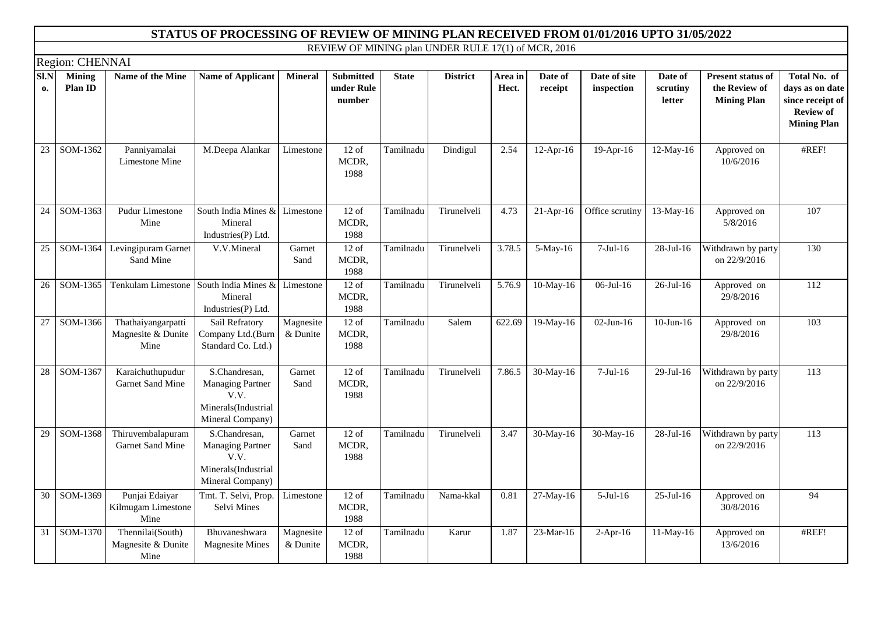|                 |                          |                                                  | STATUS OF PROCESSING OF REVIEW OF MINING PLAN RECEIVED FROM 01/01/2016 UPTO 31/05/2022      |                       |                                          |              |                                                     |                  |                    |                            |                               |                                                          |                                                                                               |
|-----------------|--------------------------|--------------------------------------------------|---------------------------------------------------------------------------------------------|-----------------------|------------------------------------------|--------------|-----------------------------------------------------|------------------|--------------------|----------------------------|-------------------------------|----------------------------------------------------------|-----------------------------------------------------------------------------------------------|
|                 |                          |                                                  |                                                                                             |                       |                                          |              | REVIEW OF MINING plan UNDER RULE 17(1) of MCR, 2016 |                  |                    |                            |                               |                                                          |                                                                                               |
|                 | Region: CHENNAI          |                                                  |                                                                                             |                       |                                          |              |                                                     |                  |                    |                            |                               |                                                          |                                                                                               |
| Sl.N<br>0.      | <b>Mining</b><br>Plan ID | Name of the Mine                                 | <b>Name of Applicant</b>                                                                    | <b>Mineral</b>        | <b>Submitted</b><br>under Rule<br>number | <b>State</b> | <b>District</b>                                     | Area in<br>Hect. | Date of<br>receipt | Date of site<br>inspection | Date of<br>scrutiny<br>letter | Present status of<br>the Review of<br><b>Mining Plan</b> | Total No. of<br>days as on date<br>since receipt of<br><b>Review of</b><br><b>Mining Plan</b> |
| 23              | SOM-1362                 | Panniyamalai<br>Limestone Mine                   | M.Deepa Alankar                                                                             | Limestone             | $12$ of<br>MCDR,<br>1988                 | Tamilnadu    | Dindigul                                            | 2.54             | $12-Apr-16$        | $19-Apr-16$                | $12$ -May-16                  | Approved on<br>10/6/2016                                 | #REF!                                                                                         |
| 24              | SOM-1363                 | Pudur Limestone<br>Mine                          | South India Mines & Limestone<br>Mineral<br>Industries(P) Ltd.                              |                       | $12$ of<br>MCDR,<br>1988                 | Tamilnadu    | Tirunelveli                                         | 4.73             | $21-Apr-16$        | Office scrutiny            | 13-May-16                     | Approved on<br>5/8/2016                                  | 107                                                                                           |
| 25              |                          | SOM-1364 Levingipuram Garnet<br>Sand Mine        | V.V.Mineral                                                                                 | Garnet<br>Sand        | $12$ of<br>MCDR,<br>1988                 | Tamilnadu    | Tirunelveli                                         | 3.78.5           | 5-May-16           | $7-Jul-16$                 | 28-Jul-16                     | Withdrawn by party<br>on 22/9/2016                       | 130                                                                                           |
| 26              | SOM-1365                 | Tenkulam Limestone                               | South India Mines &<br>Mineral<br>Industries(P) Ltd.                                        | Limestone             | $12$ of<br>MCDR,<br>1988                 | Tamilnadu    | Tirunelveli                                         | 5.76.9           | 10-May-16          | 06-Jul-16                  | $26$ -Jul-16                  | Approved on<br>29/8/2016                                 | 112                                                                                           |
| 27              | SOM-1366                 | Thathaiyangarpatti<br>Magnesite & Dunite<br>Mine | Sail Refratory<br>Company Ltd.(Burn<br>Standard Co. Ltd.)                                   | Magnesite<br>& Dunite | $12$ of<br>MCDR,<br>1988                 | Tamilnadu    | Salem                                               | 622.69           | $19-May-16$        | $02$ -Jun-16               | $10-Jun-16$                   | Approved on<br>29/8/2016                                 | 103                                                                                           |
| $\overline{28}$ | SOM-1367                 | Karaichuthupudur<br>Garnet Sand Mine             | S.Chandresan,<br><b>Managing Partner</b><br>V.V.<br>Minerals(Industrial<br>Mineral Company) | Garnet<br>Sand        | $12$ of<br>MCDR,<br>1988                 | Tamilnadu    | Tirunelveli                                         | 7.86.5           | 30-May-16          | $7-Jul-16$                 | 29-Jul-16                     | Withdrawn by party<br>on 22/9/2016                       | $\overline{113}$                                                                              |
| 29              | SOM-1368                 | Thiruvembalapuram<br>Garnet Sand Mine            | S.Chandresan,<br><b>Managing Partner</b><br>V.V.<br>Minerals(Industrial<br>Mineral Company) | Garnet<br>Sand        | $12$ of<br>MCDR,<br>1988                 | Tamilnadu    | Tirunelveli                                         | 3.47             | 30-May-16          | 30-May-16                  | 28-Jul-16                     | Withdrawn by party<br>on 22/9/2016                       | 113                                                                                           |
| 30              | SOM-1369                 | Punjai Edaiyar<br>Kilmugam Limestone<br>Mine     | Tmt. T. Selvi, Prop.<br>Selvi Mines                                                         | Limestone             | $12$ of<br>MCDR,<br>1988                 | Tamilnadu    | Nama-kkal                                           | 0.81             | 27-May-16          | $5-Jul-16$                 | $25$ -Jul-16                  | Approved on<br>30/8/2016                                 | 94                                                                                            |
| 31              | SOM-1370                 | Thennilai(South)<br>Magnesite & Dunite<br>Mine   | Bhuvaneshwara<br><b>Magnesite Mines</b>                                                     | Magnesite<br>& Dunite | $12$ of<br>MCDR,<br>1988                 | Tamilnadu    | Karur                                               | 1.87             | 23-Mar-16          | $2-Apr-16$                 | 11-May-16                     | Approved on<br>13/6/2016                                 | #REF!                                                                                         |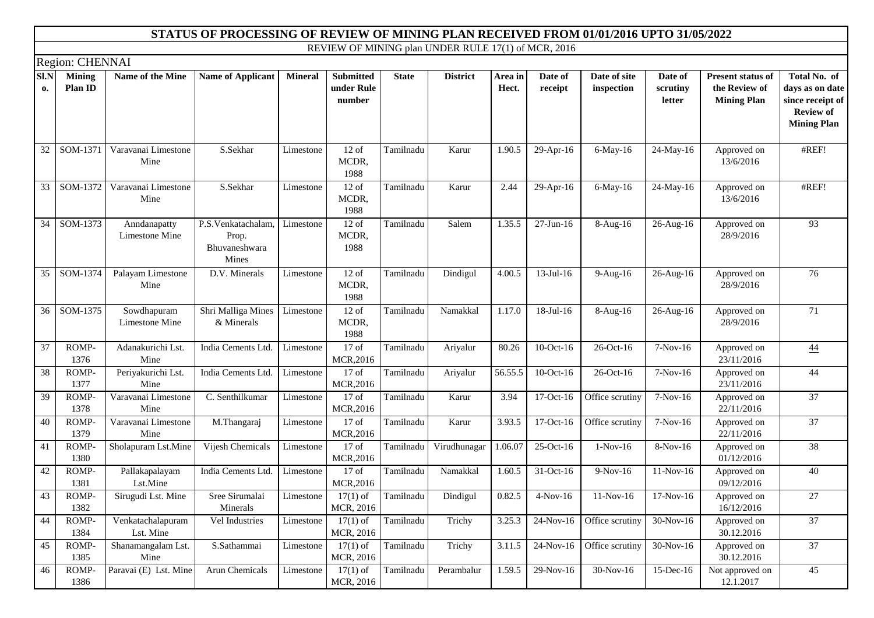|            |                          |                                | STATUS OF PROCESSING OF REVIEW OF MINING PLAN RECEIVED FROM 01/01/2016 UPTO 31/05/2022 |                |                                          |              |                                                     |                      |                    |                            |                               |                                                                 |                                                                                               |
|------------|--------------------------|--------------------------------|----------------------------------------------------------------------------------------|----------------|------------------------------------------|--------------|-----------------------------------------------------|----------------------|--------------------|----------------------------|-------------------------------|-----------------------------------------------------------------|-----------------------------------------------------------------------------------------------|
|            |                          |                                |                                                                                        |                |                                          |              | REVIEW OF MINING plan UNDER RULE 17(1) of MCR, 2016 |                      |                    |                            |                               |                                                                 |                                                                                               |
|            | Region: CHENNAI          |                                |                                                                                        |                |                                          |              |                                                     |                      |                    |                            |                               |                                                                 |                                                                                               |
| SI.N<br>0. | <b>Mining</b><br>Plan ID | Name of the Mine               | <b>Name of Applicant</b>                                                               | <b>Mineral</b> | <b>Submitted</b><br>under Rule<br>number | <b>State</b> | <b>District</b>                                     | Area in<br>Hect.     | Date of<br>receipt | Date of site<br>inspection | Date of<br>scrutiny<br>letter | <b>Present status of</b><br>the Review of<br><b>Mining Plan</b> | Total No. of<br>days as on date<br>since receipt of<br><b>Review of</b><br><b>Mining Plan</b> |
| 32         | $SOM-1371$               | Varavanai Limestone<br>Mine    | S.Sekhar                                                                               | Limestone      | $12$ of<br>MCDR,<br>1988                 | Tamilnadu    | Karur                                               | 1.90.5               | 29-Apr-16          | 6-May-16                   | 24-May-16                     | Approved on<br>13/6/2016                                        | #REF!                                                                                         |
| 33         | SOM-1372                 | Varavanai Limestone<br>Mine    | S.Sekhar                                                                               | Limestone      | $12$ of<br>MCDR,<br>1988                 | Tamilnadu    | Karur                                               | 2.44                 | 29-Apr-16          | 6-May-16                   | 24-May-16                     | Approved on<br>13/6/2016                                        | #REF!                                                                                         |
| 34         | SOM-1373                 | Anndanapatty<br>Limestone Mine | P.S.Venkatachalam,<br>Prop.<br>Bhuvaneshwara<br>Mines                                  | Limestone      | $12$ of<br>MCDR,<br>1988                 | Tamilnadu    | Salem                                               | 1.35.5               | $27$ -Jun-16       | 8-Aug-16                   | 26-Aug-16                     | Approved on<br>28/9/2016                                        | 93                                                                                            |
| 35         | SOM-1374                 | Palayam Limestone<br>Mine      | D.V. Minerals                                                                          | Limestone      | $12$ of<br>MCDR,<br>1988                 | Tamilnadu    | Dindigul                                            | 4.00.5               | $13$ -Jul-16       | 9-Aug-16                   | 26-Aug-16                     | Approved on<br>28/9/2016                                        | 76                                                                                            |
| 36         | SOM-1375                 | Sowdhapuram<br>Limestone Mine  | Shri Malliga Mines<br>& Minerals                                                       | Limestone      | $12$ of<br>MCDR,<br>1988                 | Tamilnadu    | Namakkal                                            | 1.17.0               | 18-Jul-16          | 8-Aug-16                   | 26-Aug-16                     | Approved on<br>28/9/2016                                        | 71                                                                                            |
| 37         | ROMP-<br>1376            | Adanakurichi Lst.<br>Mine      | India Cements Ltd.                                                                     | Limestone      | $17$ of<br>MCR, 2016                     | Tamilnadu    | Ariyalur                                            | 80.26                | 10-Oct-16          | 26-Oct-16                  | 7-Nov-16                      | Approved on<br>23/11/2016                                       | $\underline{44}$                                                                              |
| 38         | ROMP-<br>1377            | Periyakurichi Lst.<br>Mine     | India Cements Ltd.                                                                     | Limestone      | $17$ of<br>MCR, 2016                     | Tamilnadu    | Ariyalur                                            | $\overline{56.55.5}$ | 10-Oct-16          | $\overline{26}$ -Oct-16    | 7-Nov-16                      | Approved on<br>23/11/2016                                       | 44                                                                                            |
| 39         | ROMP-<br>1378            | Varavanai Limestone<br>Mine    | C. Senthilkumar                                                                        | Limestone      | $17$ of<br>MCR, 2016                     | Tamilnadu    | Karur                                               | 3.94                 | 17-Oct-16          | Office scrutiny            | 7-Nov-16                      | Approved on<br>22/11/2016                                       | 37                                                                                            |
| 40         | ROMP-<br>1379            | Varavanai Limestone<br>Mine    | M.Thangaraj                                                                            | Limestone      | $17$ of<br>MCR, 2016                     | Tamilnadu    | Karur                                               | 3.93.5               | $17-Oct-16$        | Office scrutiny            | $7-Nov-16$                    | Approved on<br>22/11/2016                                       | $\overline{37}$                                                                               |
| 41         | ROMP-<br>1380            | Sholapuram Lst.Mine            | Vijesh Chemicals                                                                       | Limestone      | $17$ of<br>MCR, 2016                     | Tamilnadu    | Virudhunagar                                        | 1.06.07              | 25-Oct-16          | $1-Nov-16$                 | 8-Nov-16                      | Approved on<br>01/12/2016                                       | 38                                                                                            |
| 42         | ROMP-<br>1381            | Pallakapalayam<br>Lst.Mine     | India Cements Ltd.                                                                     | Limestone      | $17$ of<br>MCR, 2016                     | Tamilnadu    | Namakkal                                            | 1.60.5               | 31-Oct-16          | $9-Nov-16$                 | 11-Nov-16                     | Approved on<br>09/12/2016                                       | 40                                                                                            |
| 43         | ROMP-<br>1382            | Sirugudi Lst. Mine             | Sree Sirumalai<br>Minerals                                                             | Limestone      | $17(1)$ of<br>MCR, 2016                  | Tamilnadu    | Dindigul                                            | 0.82.5               | $4-Nov-16$         | $11-Nov-16$                | $17-Nov-16$                   | Approved on<br>16/12/2016                                       | 27                                                                                            |
| 44         | ROMP-<br>1384            | Venkatachalapuram<br>Lst. Mine | Vel Industries                                                                         | Limestone      | $17(1)$ of<br>MCR, 2016                  | Tamilnadu    | Trichy                                              | 3.25.3               | 24-Nov-16          | Office scrutiny            | 30-Nov-16                     | Approved on<br>30.12.2016                                       | 37                                                                                            |
| 45         | ROMP-<br>1385            | Shanamangalam Lst.<br>Mine     | S.Sathammai                                                                            | Limestone      | $17(1)$ of<br>MCR, 2016                  | Tamilnadu    | Trichy                                              | 3.11.5               | 24-Nov-16          | Office scrutiny            | 30-Nov-16                     | Approved on<br>30.12.2016                                       | 37                                                                                            |
| 46         | ROMP-<br>1386            | Paravai (E) Lst. Mine          | Arun Chemicals                                                                         | Limestone      | $17(1)$ of<br>MCR, 2016                  | Tamilnadu    | Perambalur                                          | 1.59.5               | 29-Nov-16          | 30-Nov-16                  | 15-Dec-16                     | Not approved on<br>12.1.2017                                    | 45                                                                                            |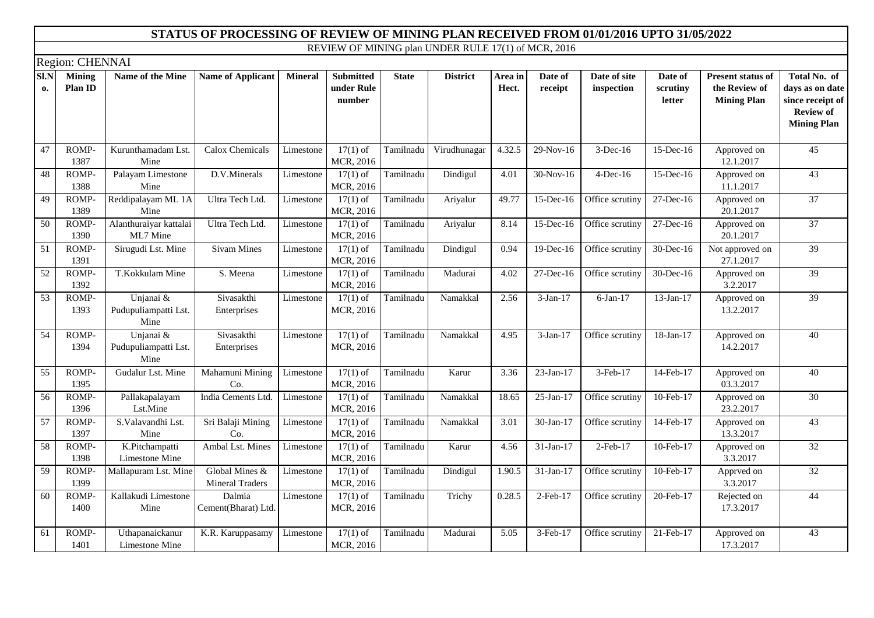|            | Region: CHENNAI          |                                           |                                            |                |                                          |              |                 |                  |                         |                            |                               |                                                                 |                                                                                               |
|------------|--------------------------|-------------------------------------------|--------------------------------------------|----------------|------------------------------------------|--------------|-----------------|------------------|-------------------------|----------------------------|-------------------------------|-----------------------------------------------------------------|-----------------------------------------------------------------------------------------------|
| SI.N<br>0. | <b>Mining</b><br>Plan ID | Name of the Mine                          | <b>Name of Applicant</b>                   | <b>Mineral</b> | <b>Submitted</b><br>under Rule<br>number | <b>State</b> | <b>District</b> | Area in<br>Hect. | Date of<br>receipt      | Date of site<br>inspection | Date of<br>scrutiny<br>letter | <b>Present status of</b><br>the Review of<br><b>Mining Plan</b> | Total No. of<br>days as on date<br>since receipt of<br><b>Review of</b><br><b>Mining Plan</b> |
| 47         | ROMP-<br>1387            | Kurunthamadam Lst.<br>Mine                | Calox Chemicals                            | Limestone      | $17(1)$ of<br>MCR, 2016                  | Tamilnadu    | Virudhunagar    | 4.32.5           | 29-Nov-16               | 3-Dec-16                   | 15-Dec-16                     | Approved on<br>12.1.2017                                        | 45                                                                                            |
| 48         | ROMP-<br>1388            | Palayam Limestone<br>Mine                 | D.V.Minerals                               | Limestone      | $17(1)$ of<br>MCR, 2016                  | Tamilnadu    | Dindigul        | 4.01             | 30-Nov-16               | 4-Dec-16                   | $15$ -Dec-16                  | Approved on<br>11.1.2017                                        | $\overline{43}$                                                                               |
| 49         | ROMP-<br>1389            | Reddipalayam ML 1A<br>Mine                | Ultra Tech Ltd.                            | Limestone      | $17(1)$ of<br>MCR, 2016                  | Tamilnadu    | Ariyalur        | 49.77            | 15-Dec-16               | Office scrutiny            | $27-Dec-16$                   | Approved on<br>20.1.2017                                        | $\overline{37}$                                                                               |
| 50         | ROMP-<br>1390            | Alanthuraiyar kattalai<br>ML7 Mine        | Ultra Tech Ltd.                            | Limestone      | $17(1)$ of<br>MCR, 2016                  | Tamilnadu    | Ariyalur        | 8.14             | 15-Dec-16               | Office scrutiny            | 27-Dec-16                     | Approved on<br>20.1.2017                                        | $\overline{37}$                                                                               |
| 51         | ROMP-<br>1391            | Sirugudi Lst. Mine                        | <b>Sivam Mines</b>                         | Limestone      | $17(1)$ of<br>MCR, 2016                  | Tamilnadu    | Dindigul        | 0.94             | $19$ -Dec-16            | Office scrutiny            | 30-Dec-16                     | Not approved on<br>27.1.2017                                    | 39                                                                                            |
| 52         | ROMP-<br>1392            | T.Kokkulam Mine                           | S. Meena                                   | Limestone      | $17(1)$ of<br>MCR, 2016                  | Tamilnadu    | Madurai         | 4.02             | $\overline{27}$ -Dec-16 | Office scrutiny            | 30-Dec-16                     | Approved on<br>3.2.2017                                         | $\overline{39}$                                                                               |
| 53         | ROMP-<br>1393            | Unjanai &<br>Pudupuliampatti Lst.<br>Mine | Sivasakthi<br>Enterprises                  | Limestone      | $\overline{17(1)}$ of<br>MCR, 2016       | Tamilnadu    | Namakkal        | 2.56             | $3-Jan-17$              | $\overline{6}$ -Jan-17     | 13-Jan-17                     | Approved on<br>13.2.2017                                        | 39                                                                                            |
| 54         | ROMP-<br>1394            | Unjanai &<br>Pudupuliampatti Lst.<br>Mine | Sivasakthi<br>Enterprises                  | Limestone      | $17(1)$ of<br>MCR, 2016                  | Tamilnadu    | Namakkal        | 4.95             | $3-Jan-17$              | Office scrutiny            | 18-Jan-17                     | Approved on<br>14.2.2017                                        | 40                                                                                            |
| 55         | ROMP-<br>1395            | Gudalur Lst. Mine                         | Mahamuni Mining<br>Co.                     | Limestone      | $17(1)$ of<br>MCR, 2016                  | Tamilnadu    | Karur           | 3.36             | $23-Jan-17$             | 3-Feb-17                   | 14-Feb-17                     | Approved on<br>03.3.2017                                        | 40                                                                                            |
| 56         | ROMP-<br>1396            | Pallakapalayam<br>Lst.Mine                | India Cements Ltd.                         | Limestone      | $17(1)$ of<br>MCR, 2016                  | Tamilnadu    | Namakkal        | 18.65            | 25-Jan-17               | Office scrutiny            | 10-Feb-17                     | Approved on<br>23.2.2017                                        | $\overline{30}$                                                                               |
| 57         | ROMP-<br>1397            | S.Valavandhi Lst.<br>Mine                 | Sri Balaji Mining<br>Co.                   | Limestone      | $17(1)$ of<br>MCR, 2016                  | Tamilnadu    | Namakkal        | 3.01             | 30-Jan-17               | Office scrutiny            | 14-Feb-17                     | Approved on<br>13.3.2017                                        | 43                                                                                            |
| 58         | ROMP-<br>1398            | K.Pitchampatti<br>Limestone Mine          | Ambal Lst. Mines                           | Limestone      | $17(1)$ of<br>MCR, 2016                  | Tamilnadu    | Karur           | 4.56             | $31-Jan-17$             | $2$ -Feb-17                | 10-Feb-17                     | Approved on<br>3.3.2017                                         | 32                                                                                            |
| 59         | ROMP-<br>1399            | Mallapuram Lst. Mine                      | Global Mines $&$<br><b>Mineral Traders</b> | Limestone      | $17(1)$ of<br>MCR, 2016                  | Tamilnadu    | Dindigul        | 1.90.5           | 31-Jan-17               | Office scrutiny            | 10-Feb-17                     | Apprved on<br>3.3.2017                                          | 32                                                                                            |
| 60         | ROMP-<br>1400            | Kallakudi Limestone<br>Mine               | Dalmia<br>Cement(Bharat) Ltd.              | Limestone      | $17(1)$ of<br>MCR, 2016                  | Tamilnadu    | Trichy          | 0.28.5           | $2$ -Feb-17             | Office scrutiny            | 20-Feb-17                     | Rejected on<br>17.3.2017                                        | 44                                                                                            |
| 61         | ROMP-<br>1401            | Uthapanaickanur<br>Limestone Mine         | K.R. Karuppasamy                           | Limestone      | $17(1)$ of<br>MCR, 2016                  | Tamilnadu    | Madurai         | 5.05             | 3-Feb-17                | Office scrutiny            | 21-Feb-17                     | Approved on<br>17.3.2017                                        | 43                                                                                            |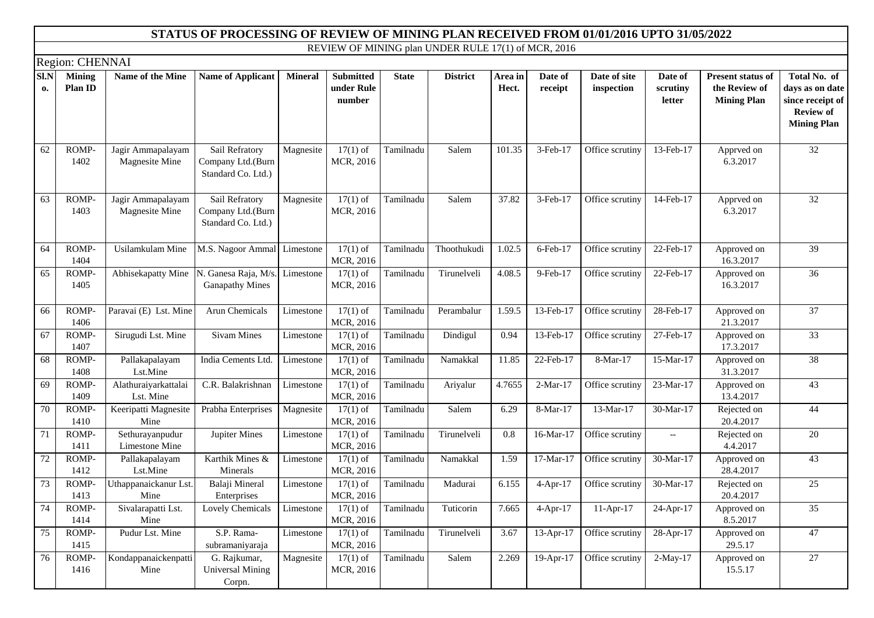|            |                          |                                     | STATUS OF PROCESSING OF REVIEW OF MINING PLAN RECEIVED FROM 01/01/2016 UPTO 31/05/2022 |                |                                          |              |                                                     |                  |                    |                            |                                                     |                                                                 |                                                                                               |
|------------|--------------------------|-------------------------------------|----------------------------------------------------------------------------------------|----------------|------------------------------------------|--------------|-----------------------------------------------------|------------------|--------------------|----------------------------|-----------------------------------------------------|-----------------------------------------------------------------|-----------------------------------------------------------------------------------------------|
|            |                          |                                     |                                                                                        |                |                                          |              | REVIEW OF MINING plan UNDER RULE 17(1) of MCR, 2016 |                  |                    |                            |                                                     |                                                                 |                                                                                               |
|            | Region: CHENNAI          |                                     |                                                                                        |                |                                          |              |                                                     |                  |                    |                            |                                                     |                                                                 |                                                                                               |
| SI.N<br>0. | <b>Mining</b><br>Plan ID | Name of the Mine                    | <b>Name of Applicant</b>                                                               | <b>Mineral</b> | <b>Submitted</b><br>under Rule<br>number | <b>State</b> | <b>District</b>                                     | Area in<br>Hect. | Date of<br>receipt | Date of site<br>inspection | Date of<br>scrutiny<br>letter                       | <b>Present status of</b><br>the Review of<br><b>Mining Plan</b> | Total No. of<br>days as on date<br>since receipt of<br><b>Review of</b><br><b>Mining Plan</b> |
| 62         | ROMP-<br>1402            | Jagir Ammapalayam<br>Magnesite Mine | Sail Refratory<br>Company Ltd.(Burn<br>Standard Co. Ltd.)                              | Magnesite      | $17(1)$ of<br>MCR, 2016                  | Tamilnadu    | Salem                                               | 101.35           | 3-Feb-17           | Office scrutiny            | 13-Feb-17                                           | Apprved on<br>6.3.2017                                          | 32                                                                                            |
| 63         | ROMP-<br>1403            | Jagir Ammapalayam<br>Magnesite Mine | Sail Refratory<br>Company Ltd.(Burn<br>Standard Co. Ltd.)                              | Magnesite      | $17(1)$ of<br>MCR, 2016                  | Tamilnadu    | Salem                                               | 37.82            | 3-Feb-17           | Office scrutiny            | 14-Feb-17                                           | Apprved on<br>6.3.2017                                          | 32                                                                                            |
| 64         | ROMP-<br>1404            | Usilamkulam Mine                    | M.S. Nagoor Ammal Limestone                                                            |                | $17(1)$ of<br>MCR, 2016                  | Tamilnadu    | Thoothukudi                                         | 1.02.5           | 6-Feb-17           | Office scrutiny            | 22-Feb-17                                           | Approved on<br>16.3.2017                                        | 39                                                                                            |
| 65         | ROMP-<br>1405            | Abhisekapatty Mine                  | N. Ganesa Raja, M/s<br><b>Ganapathy Mines</b>                                          | Limestone      | $17(1)$ of<br>MCR, 2016                  | Tamilnadu    | Tirunelveli                                         | 4.08.5           | 9-Feb-17           | Office scrutiny            | 22-Feb-17                                           | Approved on<br>16.3.2017                                        | $\overline{36}$                                                                               |
| 66         | ROMP-<br>1406            | Paravai (E) Lst. Mine               | Arun Chemicals                                                                         | Limestone      | $17(1)$ of<br>MCR, 2016                  | Tamilnadu    | Perambalur                                          | 1.59.5           | 13-Feb-17          | Office scrutiny            | 28-Feb-17                                           | Approved on<br>21.3.2017                                        | $\overline{37}$                                                                               |
| 67         | ROMP-<br>1407            | Sirugudi Lst. Mine                  | Sivam Mines                                                                            | Limestone      | $17(1)$ of<br>MCR, 2016                  | Tamilnadu    | Dindigul                                            | 0.94             | 13-Feb-17          | Office scrutiny            | 27-Feb-17                                           | Approved on<br>17.3.2017                                        | 33                                                                                            |
| 68         | ROMP-<br>1408            | Pallakapalayam<br>Lst.Mine          | India Cements Ltd.                                                                     | Limestone      | $17(1)$ of<br>MCR, 2016                  | Tamilnadu    | Namakkal                                            | 11.85            | 22-Feb-17          | 8-Mar-17                   | 15-Mar-17                                           | Approved on<br>31.3.2017                                        | 38                                                                                            |
| 69         | ROMP-<br>1409            | Alathuraiyarkattalai<br>Lst. Mine   | C.R. Balakrishnan                                                                      | Limestone      | $17(1)$ of<br>MCR, 2016                  | Tamilnadu    | Ariyalur                                            | 4.7655           | $2-Mar-17$         | Office scrutiny            | 23-Mar-17                                           | Approved on<br>13.4.2017                                        | $\overline{43}$                                                                               |
| 70         | ROMP-<br>1410            | Keeripatti Magnesite<br>Mine        | Prabha Enterprises                                                                     | Magnesite      | $17(1)$ of<br>MCR, 2016                  | Tamilnadu    | Salem                                               | 6.29             | 8-Mar-17           | 13-Mar-17                  | 30-Mar-17                                           | Rejected on<br>20.4.2017                                        | 44                                                                                            |
| 71         | ROMP-<br>1411            | Sethurayanpudur<br>Limestone Mine   | Jupiter Mines                                                                          | Limestone      | $17(1)$ of<br>MCR, 2016                  | Tamilnadu    | Tirunelveli                                         | 0.8              | 16-Mar-17          | Office scrutiny            | $\hspace{0.05cm} -\hspace{0.05cm} -\hspace{0.05cm}$ | Rejected on<br>4.4.2017                                         | 20                                                                                            |
| 72         | ROMP-<br>1412            | Pallakapalayam<br>Lst.Mine          | Karthik Mines &<br>Minerals                                                            | Limestone      | $17(1)$ of<br>MCR, 2016                  | Tamilnadu    | Namakkal                                            | 1.59             | 17-Mar-17          | Office scrutiny            | 30-Mar-17                                           | Approved on<br>28.4.2017                                        | 43                                                                                            |
| 73         | ROMP-<br>1413            | Uthappanaickanur Lst.<br>Mine       | Balaji Mineral<br>Enterprises                                                          | Limestone      | $17(1)$ of<br>MCR, 2016                  | Tamilnadu    | Madurai                                             | 6.155            | $4-Apr-17$         | Office scrutiny            | $\overline{30}$ -Mar-17                             | Rejected on<br>20.4.2017                                        | $\overline{25}$                                                                               |
| 74         | ROMP-<br>1414            | Sivalarapatti Lst.<br>Mine          | Lovely Chemicals                                                                       | Limestone      | $17(1)$ of<br>MCR, 2016                  | Tamilnadu    | Tuticorin                                           | 7.665            | $4-Apr-17$         | $11-Apr-17$                | 24-Apr-17                                           | Approved on<br>8.5.2017                                         | 35                                                                                            |
| 75         | ROMP-<br>1415            | Pudur Lst. Mine                     | S.P. Rama-<br>subramaniyaraja                                                          | Limestone      | $17(1)$ of<br>MCR, 2016                  | Tamilnadu    | Tirunelveli                                         | 3.67             | 13-Apr-17          | Office scrutiny            | 28-Apr-17                                           | Approved on<br>29.5.17                                          | 47                                                                                            |
| 76         | ROMP-<br>1416            | Kondappanaickenpatti<br>Mine        | G. Rajkumar,<br><b>Universal Mining</b><br>Corpn.                                      | Magnesite      | $17(1)$ of<br>MCR, 2016                  | Tamilnadu    | Salem                                               | 2.269            | 19-Apr-17          | Office scrutiny            | $2-May-17$                                          | Approved on<br>15.5.17                                          | 27                                                                                            |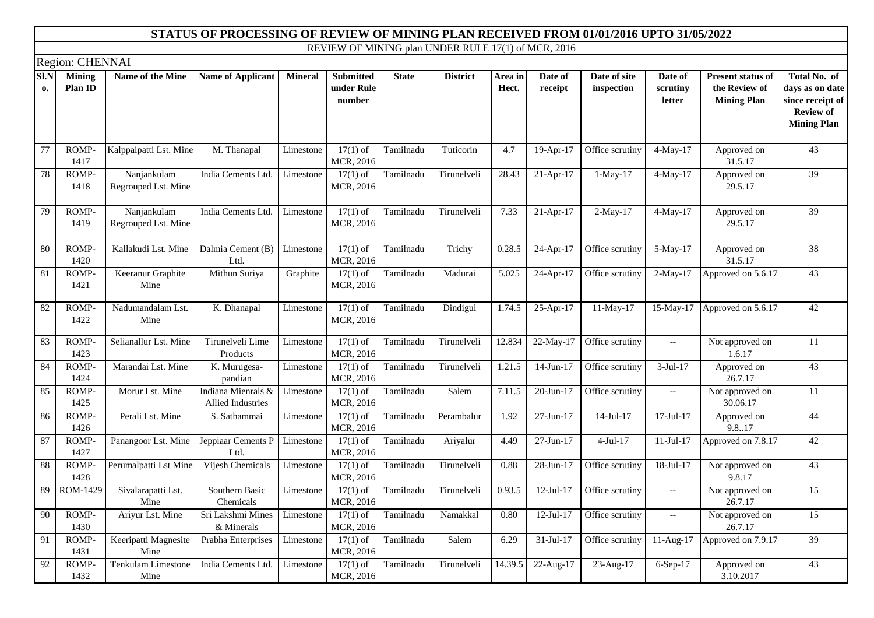|            | Region: CHENNAI          |                                    |                                         |                |                                          |              |                 |                  |                         |                            |                                                     |                                                                 |                                                                                               |
|------------|--------------------------|------------------------------------|-----------------------------------------|----------------|------------------------------------------|--------------|-----------------|------------------|-------------------------|----------------------------|-----------------------------------------------------|-----------------------------------------------------------------|-----------------------------------------------------------------------------------------------|
| SI.N<br>0. | <b>Mining</b><br>Plan ID | Name of the Mine                   | <b>Name of Applicant</b>                | <b>Mineral</b> | <b>Submitted</b><br>under Rule<br>number | <b>State</b> | <b>District</b> | Area in<br>Hect. | Date of<br>receipt      | Date of site<br>inspection | Date of<br>scrutiny<br>letter                       | <b>Present status of</b><br>the Review of<br><b>Mining Plan</b> | Total No. of<br>days as on date<br>since receipt of<br><b>Review of</b><br><b>Mining Plan</b> |
| 77         | ROMP-<br>1417            | Kalppaipatti Lst. Mine             | M. Thanapal                             | Limestone      | $17(1)$ of<br>MCR, 2016                  | Tamilnadu    | Tuticorin       | 4.7              | $19$ -Apr-17            | Office scrutiny            | $4-May-17$                                          | Approved on<br>31.5.17                                          | 43                                                                                            |
| 78         | ROMP-<br>1418            | Nanjankulam<br>Regrouped Lst. Mine | India Cements Ltd.                      | Limestone      | $17(1)$ of<br>MCR, 2016                  | Tamilnadu    | Tirunelveli     | 28.43            | $21-Apr-17$             | $1-May-17$                 | $4-May-17$                                          | Approved on<br>29.5.17                                          | 39                                                                                            |
| 79         | ROMP-<br>1419            | Nanjankulam<br>Regrouped Lst. Mine | India Cements Ltd.                      | Limestone      | $17(1)$ of<br>MCR, 2016                  | Tamilnadu    | Tirunelveli     | 7.33             | 21-Apr-17               | $2-May-17$                 | $4-May-17$                                          | Approved on<br>29.5.17                                          | 39                                                                                            |
| 80         | ROMP-<br>1420            | Kallakudi Lst. Mine                | Dalmia Cement (B)<br>Ltd.               | Limestone      | $17(1)$ of<br>MCR, 2016                  | Tamilnadu    | Trichy          | 0.28.5           | $\overline{24}$ -Apr-17 | Office scrutiny            | 5-May-17                                            | Approved on<br>31.5.17                                          | 38                                                                                            |
| 81         | ROMP-<br>1421            | Keeranur Graphite<br>Mine          | Mithun Suriya                           | Graphite       | $17(1)$ of<br>MCR, 2016                  | Tamilnadu    | Madurai         | 5.025            | 24-Apr-17               | Office scrutiny            | 2-May-17                                            | Approved on 5.6.17                                              | 43                                                                                            |
| 82         | ROMP-<br>1422            | Nadumandalam Lst.<br>Mine          | K. Dhanapal                             | Limestone      | $17(1)$ of<br>MCR, 2016                  | Tamilnadu    | Dindigul        | 1.74.5           | 25-Apr-17               | 11-May-17                  |                                                     | 15-May-17 Approved on 5.6.17                                    | 42                                                                                            |
| 83         | ROMP-<br>1423            | Selianallur Lst. Mine              | Tirunelveli Lime<br>Products            | Limestone      | $17(1)$ of<br>MCR, 2016                  | Tamilnadu    | Tirunelveli     | 12.834           | 22-May-17               | Office scrutiny            | $\overline{\phantom{a}}$                            | Not approved on<br>1.6.17                                       | 11                                                                                            |
| 84         | ROMP-<br>1424            | Marandai Lst. Mine                 | K. Murugesa-<br>pandian                 | Limestone      | $17(1)$ of<br>MCR, 2016                  | Tamilnadu    | Tirunelveli     | 1.21.5           | $14$ -Jun- $17$         | Office scrutiny            | $3-Jul-17$                                          | Approved on<br>26.7.17                                          | 43                                                                                            |
| 85         | ROMP-<br>1425            | Morur Lst. Mine                    | Indiana Mienrals &<br>Allied Industries | Limestone      | $17(1)$ of<br>MCR, 2016                  | Tamilnadu    | Salem           | 7.11.5           | 20-Jun-17               | Office scrutiny            | $\hspace{0.05cm} -\hspace{0.05cm} -\hspace{0.05cm}$ | Not approved on<br>30.06.17                                     | $\overline{11}$                                                                               |
| 86         | ROMP-<br>1426            | Perali Lst. Mine                   | S. Sathammai                            | Limestone      | $17(1)$ of<br>MCR, 2016                  | Tamilnadu    | Perambalur      | 1.92             | 27-Jun-17               | $14$ -Jul-17               | $17$ -Jul- $17$                                     | Approved on<br>9.8.17                                           | 44                                                                                            |
| 87         | ROMP-<br>1427            | Panangoor Lst. Mine                | Jeppiaar Cements P<br>Ltd.              | Limestone      | $17(1)$ of<br>MCR, 2016                  | Tamilnadu    | Ariyalur        | 4.49             | 27-Jun-17               | $4-Jul-17$                 | $11-Jul-17$                                         | Approved on 7.8.17                                              | 42                                                                                            |
| 88         | ROMP-<br>1428            | Perumalpatti Lst Mine              | Vijesh Chemicals                        | Limestone      | $17(1)$ of<br>MCR, 2016                  | Tamilnadu    | Tirunelveli     | 0.88             | 28-Jun-17               | Office scrutiny            | 18-Jul-17                                           | Not approved on<br>9.8.17                                       | 43                                                                                            |
| 89         | ROM-1429                 | Sivalarapatti Lst.<br>Mine         | Southern Basic<br>Chemicals             | Limestone      | $17(1)$ of<br>MCR, 2016                  | Tamilnadu    | Tirunelveli     | 0.93.5           | $12-Jul-17$             | Office scrutiny            | $\overline{\phantom{a}}$                            | Not approved on<br>26.7.17                                      | $\overline{15}$                                                                               |
| 90         | ROMP-<br>1430            | Ariyur Lst. Mine                   | Sri Lakshmi Mines<br>& Minerals         | Limestone      | $17(1)$ of<br>MCR, 2016                  | Tamilnadu    | Namakkal        | 0.80             | $12$ -Jul- $17$         | Office scrutiny            | $\hspace{0.05cm} -\hspace{0.05cm} -\hspace{0.05cm}$ | Not approved on<br>26.7.17                                      | 15                                                                                            |
| 91         | ROMP-<br>1431            | Keeripatti Magnesite<br>Mine       | Prabha Enterprises                      | Limestone      | $17(1)$ of<br>MCR, 2016                  | Tamilnadu    | Salem           | 6.29             | $31-Jul-17$             | Office scrutiny            | $11-Aug-17$                                         | Approved on 7.9.17                                              | 39                                                                                            |
| 92         | ROMP-<br>1432            | <b>Tenkulam Limestone</b><br>Mine  | India Cements Ltd.                      | Limestone      | $17(1)$ of<br>MCR, 2016                  | Tamilnadu    | Tirunelveli     | 14.39.5          | 22-Aug-17               | 23-Aug-17                  | 6-Sep-17                                            | Approved on<br>3.10.2017                                        | $\overline{43}$                                                                               |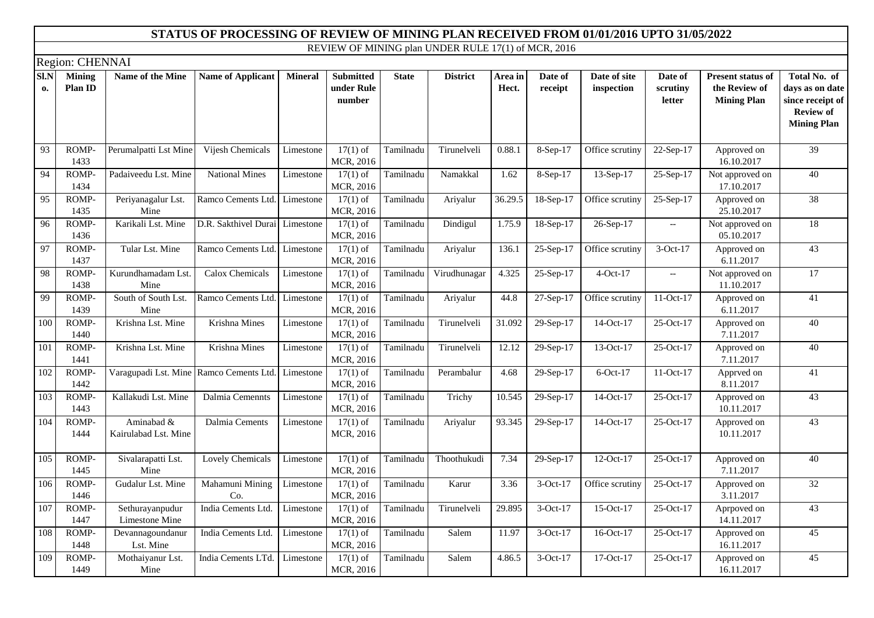|            | Region: CHENNAI          |                                         |                          |                |                                          |              |                 |                  |                         |                            |                                                     |                                                                 |                                                                                               |
|------------|--------------------------|-----------------------------------------|--------------------------|----------------|------------------------------------------|--------------|-----------------|------------------|-------------------------|----------------------------|-----------------------------------------------------|-----------------------------------------------------------------|-----------------------------------------------------------------------------------------------|
| S1.N<br>0. | <b>Mining</b><br>Plan ID | Name of the Mine                        | <b>Name of Applicant</b> | <b>Mineral</b> | <b>Submitted</b><br>under Rule<br>number | <b>State</b> | <b>District</b> | Area in<br>Hect. | Date of<br>receipt      | Date of site<br>inspection | Date of<br>scrutiny<br>letter                       | <b>Present status of</b><br>the Review of<br><b>Mining Plan</b> | Total No. of<br>days as on date<br>since receipt of<br><b>Review of</b><br><b>Mining Plan</b> |
| 93         | ROMP-<br>1433            | Perumalpatti Lst Mine                   | Vijesh Chemicals         | Limestone      | $17(1)$ of<br>MCR, 2016                  | Tamilnadu    | Tirunelveli     | 0.88.1           | 8-Sep-17                | Office scrutiny            | 22-Sep-17                                           | Approved on<br>16.10.2017                                       | 39                                                                                            |
| 94         | ROMP-<br>1434            | Padaiveedu Lst. Mine                    | <b>National Mines</b>    | Limestone      | $17(1)$ of<br>MCR, 2016                  | Tamilnadu    | Namakkal        | 1.62             | 8-Sep-17                | 13-Sep-17                  | 25-Sep-17                                           | Not approved on<br>17.10.2017                                   | $\overline{40}$                                                                               |
| 95         | ROMP-<br>1435            | Periyanagalur Lst.<br>Mine              | Ramco Cements Ltd.       | Limestone      | $17(1)$ of<br>MCR, 2016                  | Tamilnadu    | Ariyalur        | 36.29.5          | 18-Sep-17               | Office scrutiny            | 25-Sep-17                                           | Approved on<br>25.10.2017                                       | 38                                                                                            |
| 96         | ROMP-<br>1436            | Karikali Lst. Mine                      | D.R. Sakthivel Durai     | Limestone      | $17(1)$ of<br>MCR, 2016                  | Tamilnadu    | Dindigul        | 1.75.9           | 18-Sep-17               | 26-Sep-17                  | $\hspace{0.05cm} -\hspace{0.05cm} -\hspace{0.05cm}$ | Not approved on<br>05.10.2017                                   | $\overline{18}$                                                                               |
| 97         | ROMP-<br>1437            | Tular Lst. Mine                         | Ramco Cements Ltd.       | Limestone      | $17(1)$ of<br>MCR, 2016                  | Tamilnadu    | Ariyalur        | 136.1            | 25-Sep-17               | Office scrutiny            | 3-Oct-17                                            | Approved on<br>6.11.2017                                        | $\overline{43}$                                                                               |
| 98         | ROMP-<br>1438            | Kurundhamadam Lst.<br>Mine              | Calox Chemicals          | Limestone      | $17(1)$ of<br>MCR, 2016                  | Tamilnadu    | Virudhunagar    | 4.325            | $\overline{25}$ -Sep-17 | $4$ -Oct-17                | $\overline{\phantom{a}}$                            | Not approved on<br>11.10.2017                                   | $\overline{17}$                                                                               |
| 99         | ROMP-<br>1439            | South of South Lst.<br>Mine             | Ramco Cements Ltd.       | Limestone      | $17(1)$ of<br>MCR, 2016                  | Tamilnadu    | Ariyalur        | 44.8             | 27-Sep-17               | Office scrutiny            | 11-Oct-17                                           | Approved on<br>6.11.2017                                        | $\overline{41}$                                                                               |
| 100        | ROMP-<br>1440            | Krishna Lst. Mine                       | Krishna Mines            | Limestone      | $17(1)$ of<br>MCR, 2016                  | Tamilnadu    | Tirunelveli     | 31.092           | 29-Sep-17               | 14-Oct-17                  | 25-Oct-17                                           | Approved on<br>7.11.2017                                        | 40                                                                                            |
| 101        | ROMP-<br>1441            | Krishna Lst. Mine                       | Krishna Mines            | Limestone      | $17(1)$ of<br>MCR, 2016                  | Tamilnadu    | Tirunelveli     | 12.12            | 29-Sep-17               | 13-Oct-17                  | 25-Oct-17                                           | Approved on<br>7.11.2017                                        | 40                                                                                            |
| 102        | ROMP-<br>1442            | Varagupadi Lst. Mine Ramco Cements Ltd. |                          | Limestone      | $17(1)$ of<br>MCR, 2016                  | Tamilnadu    | Perambalur      | 4.68             | 29-Sep-17               | $6$ -Oct-17                | $11-Oct-17$                                         | Apprved on<br>8.11.2017                                         | $\overline{41}$                                                                               |
| 103        | ROMP-<br>1443            | Kallakudi Lst. Mine                     | Dalmia Cemennts          | Limestone      | $17(1)$ of<br>MCR, 2016                  | Tamilnadu    | Trichy          | 10.545           | 29-Sep-17               | 14-Oct-17                  | 25-Oct-17                                           | Approved on<br>10.11.2017                                       | 43                                                                                            |
| 104        | ROMP-<br>1444            | Aminabad &<br>Kairulabad Lst. Mine      | Dalmia Cements           | Limestone      | $17(1)$ of<br>MCR, 2016                  | Tamilnadu    | Ariyalur        | 93.345           | 29-Sep-17               | 14-Oct-17                  | 25-Oct-17                                           | Approved on<br>10.11.2017                                       | 43                                                                                            |
| 105        | ROMP-<br>1445            | Sivalarapatti Lst.<br>Mine              | Lovely Chemicals         | Limestone      | $17(1)$ of<br>MCR, 2016                  | Tamilnadu    | Thoothukudi     | 7.34             | 29-Sep-17               | 12-Oct-17                  | 25-Oct-17                                           | Approved on<br>7.11.2017                                        | 40                                                                                            |
| 106        | ROMP-<br>1446            | Gudalur Lst. Mine                       | Mahamuni Mining<br>Co.   | Limestone      | $17(1)$ of<br>MCR, 2016                  | Tamilnadu    | Karur           | 3.36             | 3-Oct-17                | Office scrutiny            | 25-Oct-17                                           | Approved on<br>3.11.2017                                        | 32                                                                                            |
| 107        | ROMP-<br>1447            | Sethurayanpudur<br>Limestone Mine       | India Cements Ltd.       | Limestone      | $17(1)$ of<br>MCR, 2016                  | Tamilnadu    | Tirunelveli     | 29.895           | $3-Oct-17$              | 15-Oct-17                  | 25-Oct-17                                           | Aprpoved on<br>14.11.2017                                       | 43                                                                                            |
| 108        | ROMP-<br>1448            | Devannagoundanur<br>Lst. Mine           | India Cements Ltd.       | Limestone      | $17(1)$ of<br>MCR, 2016                  | Tamilnadu    | Salem           | 11.97            | 3-Oct-17                | 16-Oct-17                  | 25-Oct-17                                           | Approved on<br>16.11.2017                                       | 45                                                                                            |
| 109        | ROMP-<br>1449            | Mothaiyanur Lst.<br>Mine                | India Cements LTd.       | Limestone      | $17(1)$ of<br>MCR, 2016                  | Tamilnadu    | Salem           | 4.86.5           | $3-Oct-17$              | 17-Oct-17                  | $25-Oct-17$                                         | Approved on<br>16.11.2017                                       | 45                                                                                            |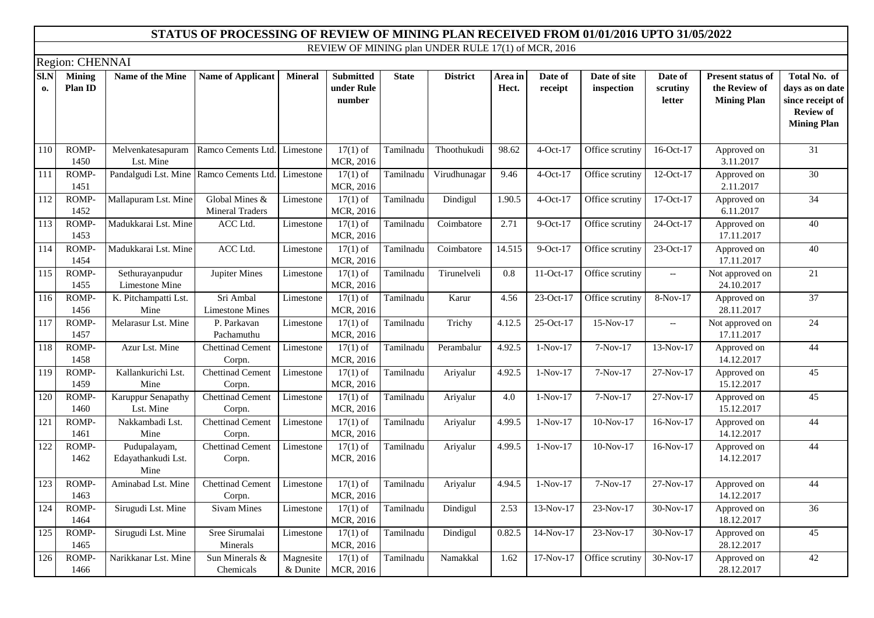|                  | Region: CHENNAI   |                                                   |                                          |                       |                                          |              |                 |                  |                    |                            |                                                     |                                                                 |                                                                                               |
|------------------|-------------------|---------------------------------------------------|------------------------------------------|-----------------------|------------------------------------------|--------------|-----------------|------------------|--------------------|----------------------------|-----------------------------------------------------|-----------------------------------------------------------------|-----------------------------------------------------------------------------------------------|
| SI.N<br>0.       | Mining<br>Plan ID | Name of the Mine                                  | <b>Name of Applicant</b>                 | <b>Mineral</b>        | <b>Submitted</b><br>under Rule<br>number | <b>State</b> | <b>District</b> | Area in<br>Hect. | Date of<br>receipt | Date of site<br>inspection | Date of<br>scrutiny<br>letter                       | <b>Present status of</b><br>the Review of<br><b>Mining Plan</b> | Total No. of<br>days as on date<br>since receipt of<br><b>Review of</b><br><b>Mining Plan</b> |
| 110              | ROMP-<br>1450     | Melvenkatesapuram<br>Lst. Mine                    | Ramco Cements Ltd.                       | Limestone             | $17(1)$ of<br>MCR, 2016                  | Tamilnadu    | Thoothukudi     | 98.62            | 4-Oct-17           | Office scrutiny            | 16-Oct-17                                           | Approved on<br>3.11.2017                                        | $\overline{31}$                                                                               |
| 111              | ROMP-<br>1451     | Pandalgudi Lst. Mine Ramco Cements Ltd. Limestone |                                          |                       | $17(1)$ of<br>MCR, 2016                  | Tamilnadu    | Virudhunagar    | 9.46             | $4-Oct-17$         | Office scrutiny            | 12-Oct-17                                           | Approved on<br>2.11.2017                                        | $\overline{30}$                                                                               |
| 112              | ROMP-<br>1452     | Mallapuram Lst. Mine                              | Global Mines &<br><b>Mineral Traders</b> | Limestone             | $17(1)$ of<br>MCR, 2016                  | Tamilnadu    | Dindigul        | 1.90.5           | $4-Oct-17$         | Office scrutiny            | 17-Oct-17                                           | Approved on<br>6.11.2017                                        | 34                                                                                            |
| 113              | ROMP-<br>1453     | Madukkarai Lst. Mine                              | ACC Ltd.                                 | Limestone             | $17(1)$ of<br>MCR, 2016                  | Tamilnadu    | Coimbatore      | 2.71             | $9$ -Oct-17        | Office scrutiny            | 24-Oct-17                                           | Approved on<br>17.11.2017                                       | 40                                                                                            |
| $\overline{114}$ | ROMP-<br>1454     | Madukkarai Lst. Mine                              | ACC Ltd.                                 | Limestone             | $17(1)$ of<br>MCR, 2016                  | Tamilnadu    | Coimbatore      | 14.515           | $9-Oct-17$         | Office scrutiny            | 23-Oct-17                                           | Approved on<br>17.11.2017                                       | 40                                                                                            |
| 115              | ROMP-<br>1455     | Sethurayanpudur<br>Limestone Mine                 | Jupiter Mines                            | Limestone             | $17(1)$ of<br>MCR, 2016                  | Tamilnadu    | Tirunelveli     | 0.8              | $11-Oct-17$        | Office scrutiny            | $\hspace{0.05cm} -\hspace{0.05cm} -\hspace{0.05cm}$ | Not approved on<br>24.10.2017                                   | $\overline{21}$                                                                               |
| 116              | ROMP-<br>1456     | K. Pitchampatti Lst.<br>Mine                      | Sri Ambal<br><b>Limestone Mines</b>      | Limestone             | $17(1)$ of<br>MCR, 2016                  | Tamilnadu    | Karur           | 4.56             | 23-Oct-17          | Office scrutiny            | 8-Nov-17                                            | Approved on<br>28.11.2017                                       | 37                                                                                            |
| 117              | ROMP-<br>1457     | Melarasur Lst. Mine                               | P. Parkavan<br>Pachamuthu                | Limestone             | $17(1)$ of<br>MCR, 2016                  | Tamilnadu    | Trichy          | 4.12.5           | 25-Oct-17          | $15-Nov-17$                | $\hspace{0.05cm} -\hspace{0.05cm} -\hspace{0.05cm}$ | Not approved on<br>17.11.2017                                   | $\overline{24}$                                                                               |
| 118              | ROMP-<br>1458     | Azur Lst. Mine                                    | <b>Chettinad Cement</b><br>Corpn.        | Limestone             | $17(1)$ of<br>MCR, 2016                  | Tamilnadu    | Perambalur      | 4.92.5           | $1-Nov-17$         | 7-Nov-17                   | 13-Nov-17                                           | Approved on<br>14.12.2017                                       | 44                                                                                            |
| 119              | ROMP-<br>1459     | Kallankurichi Lst.<br>Mine                        | <b>Chettinad Cement</b><br>Corpn.        | Limestone             | $17(1)$ of<br>MCR, 2016                  | Tamilnadu    | Ariyalur        | 4.92.5           | $1-Nov-17$         | 7-Nov-17                   | 27-Nov-17                                           | Approved on<br>15.12.2017                                       | $\overline{45}$                                                                               |
| 120              | ROMP-<br>1460     | Karuppur Senapathy<br>Lst. Mine                   | <b>Chettinad Cement</b><br>Corpn.        | Limestone             | $17(1)$ of<br>MCR, 2016                  | Tamilnadu    | Ariyalur        | 4.0              | $1-Nov-17$         | $7-Nov-17$                 | 27-Nov-17                                           | Approved on<br>15.12.2017                                       | 45                                                                                            |
| 121              | ROMP-<br>1461     | Nakkambadi Lst.<br>Mine                           | <b>Chettinad Cement</b><br>Corpn.        | Limestone             | $17(1)$ of<br>MCR, 2016                  | Tamilnadu    | Ariyalur        | 4.99.5           | $1-Nov-17$         | $10-Nov-17$                | $16-Nov-17$                                         | Approved on<br>14.12.2017                                       | 44                                                                                            |
| 122              | ROMP-<br>1462     | Pudupalayam,<br>Edayathankudi Lst.<br>Mine        | <b>Chettinad Cement</b><br>Corpn.        | Limestone             | $17(1)$ of<br>MCR, 2016                  | Tamilnadu    | Ariyalur        | 4.99.5           | $1-Nov-17$         | $10-Nov-17$                | $16-Nov-17$                                         | Approved on<br>14.12.2017                                       | 44                                                                                            |
| 123              | ROMP-<br>1463     | Aminabad Lst. Mine                                | <b>Chettinad Cement</b><br>Corpn.        | Limestone             | $17(1)$ of<br>MCR, 2016                  | Tamilnadu    | Ariyalur        | 4.94.5           | $1-Nov-17$         | 7-Nov-17                   | 27-Nov-17                                           | Approved on<br>14.12.2017                                       | 44                                                                                            |
| 124              | ROMP-<br>1464     | Sirugudi Lst. Mine                                | <b>Sivam Mines</b>                       | Limestone             | $17(1)$ of<br>MCR, 2016                  | Tamilnadu    | Dindigul        | 2.53             | 13-Nov-17          | 23-Nov-17                  | 30-Nov-17                                           | Approved on<br>18.12.2017                                       | $\overline{36}$                                                                               |
| 125              | ROMP-<br>1465     | Sirugudi Lst. Mine                                | Sree Sirumalai<br>Minerals               | Limestone             | $17(1)$ of<br>MCR, 2016                  | Tamilnadu    | Dindigul        | 0.82.5           | 14-Nov-17          | 23-Nov-17                  | 30-Nov-17                                           | Approved on<br>28.12.2017                                       | 45                                                                                            |
| 126              | ROMP-<br>1466     | Narikkanar Lst. Mine                              | Sun Minerals &<br>Chemicals              | Magnesite<br>& Dunite | $17(1)$ of<br>MCR, 2016                  | Tamilnadu    | Namakkal        | 1.62             | $17-Nov-17$        | Office scrutiny            | 30-Nov-17                                           | Approved on<br>28.12.2017                                       | 42                                                                                            |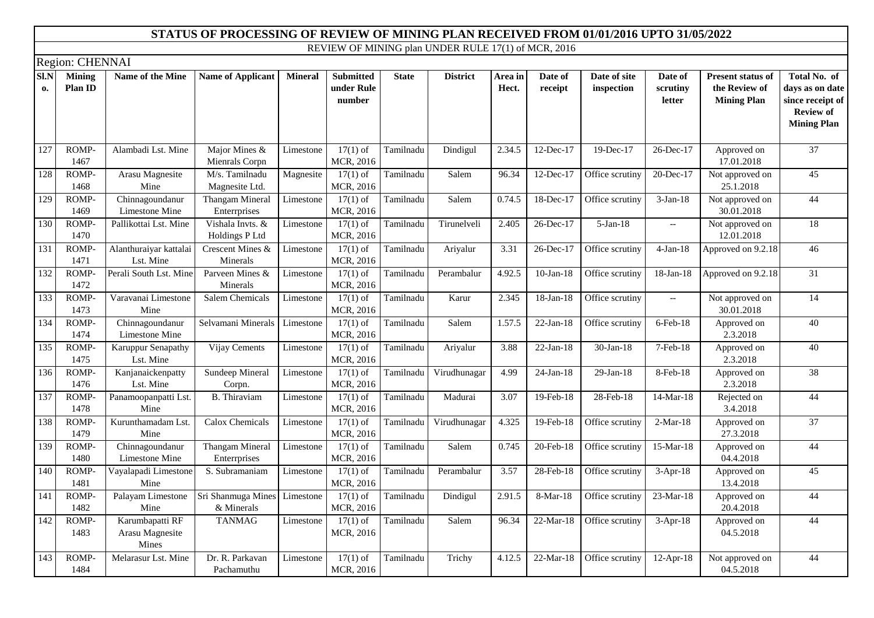|            | Region: CHENNAI          |                                             |                                    |                |                                          |              |                 |                  |                    |                            |                                                     |                                                                 |                                                                                               |
|------------|--------------------------|---------------------------------------------|------------------------------------|----------------|------------------------------------------|--------------|-----------------|------------------|--------------------|----------------------------|-----------------------------------------------------|-----------------------------------------------------------------|-----------------------------------------------------------------------------------------------|
| SI.N<br>0. | <b>Mining</b><br>Plan ID | Name of the Mine                            | <b>Name of Applicant</b>           | <b>Mineral</b> | <b>Submitted</b><br>under Rule<br>number | <b>State</b> | <b>District</b> | Area in<br>Hect. | Date of<br>receipt | Date of site<br>inspection | Date of<br>scrutiny<br>letter                       | <b>Present status of</b><br>the Review of<br><b>Mining Plan</b> | Total No. of<br>days as on date<br>since receipt of<br><b>Review of</b><br><b>Mining Plan</b> |
| 127        | ROMP-<br>1467            | Alambadi Lst. Mine                          | Major Mines $&$<br>Mienrals Corpn  | Limestone      | $17(1)$ of<br>MCR, 2016                  | Tamilnadu    | Dindigul        | 2.34.5           | 12-Dec-17          | 19-Dec-17                  | 26-Dec-17                                           | Approved on<br>17.01.2018                                       | $\overline{37}$                                                                               |
| 128        | ROMP-<br>1468            | Arasu Magnesite<br>Mine                     | M/s. Tamilnadu<br>Magnesite Ltd.   | Magnesite      | $17(1)$ of<br>MCR, 2016                  | Tamilnadu    | Salem           | 96.34            | 12-Dec-17          | Office scrutiny            | 20-Dec-17                                           | Not approved on<br>25.1.2018                                    | $\overline{45}$                                                                               |
| 129        | ROMP-<br>1469            | Chinnagoundanur<br>Limestone Mine           | Thangam Mineral<br>Enterrprises    | Limestone      | $17(1)$ of<br>MCR, 2016                  | Tamilnadu    | Salem           | 0.74.5           | 18-Dec-17          | Office scrutiny            | $3-Jan-18$                                          | Not approved on<br>30.01.2018                                   | 44                                                                                            |
| 130        | ROMP-<br>1470            | Pallikottai Lst. Mine                       | Vishala Invts. &<br>Holdings P Ltd | Limestone      | $17(1)$ of<br>MCR, 2016                  | Tamilnadu    | Tirunelveli     | 2.405            | 26-Dec-17          | $5-Jan-18$                 | $\overline{\phantom{a}}$                            | Not approved on<br>12.01.2018                                   | 18                                                                                            |
| 131        | ROMP-<br>1471            | Alanthuraiyar kattalai<br>Lst. Mine         | Crescent Mines &<br>Minerals       | Limestone      | $17(1)$ of<br>MCR, 2016                  | Tamilnadu    | Ariyalur        | 3.31             | 26-Dec-17          | Office scrutiny            | $4-Jan-18$                                          | Approved on 9.2.18                                              | $\overline{46}$                                                                               |
| 132        | ROMP-<br>1472            | Perali South Lst. Mine                      | Parveen Mines &<br>Minerals        | Limestone      | $17(1)$ of<br>MCR, 2016                  | Tamilnadu    | Perambalur      | 4.92.5           | $10$ -Jan- $18$    | Office scrutiny            | 18-Jan-18                                           | Approved on 9.2.18                                              | 31                                                                                            |
| 133        | ROMP-<br>1473            | Varavanai Limestone<br>Mine                 | <b>Salem Chemicals</b>             | Limestone      | $17(1)$ of<br>MCR, 2016                  | Tamilnadu    | Karur           | 2.345            | 18-Jan-18          | Office scrutiny            | $\hspace{0.05cm} -\hspace{0.05cm} -\hspace{0.05cm}$ | Not approved on<br>30.01.2018                                   | $\overline{14}$                                                                               |
| 134        | ROMP-<br>1474            | Chinnagoundanur<br>Limestone Mine           | Selvamani Minerals                 | Limestone      | $17(1)$ of<br>MCR, 2016                  | Tamilnadu    | Salem           | 1.57.5           | $22-Jan-18$        | Office scrutiny            | 6-Feb-18                                            | Approved on<br>2.3.2018                                         | 40                                                                                            |
| 135        | ROMP-<br>1475            | Karuppur Senapathy<br>Lst. Mine             | Vijay Cements                      | Limestone      | $17(1)$ of<br>MCR, 2016                  | Tamilnadu    | Ariyalur        | 3.88             | $22-Jan-18$        | 30-Jan-18                  | 7-Feb-18                                            | Approved on<br>2.3.2018                                         | 40                                                                                            |
| 136        | ROMP-<br>1476            | Kanjanaickenpatty<br>Lst. Mine              | Sundeep Mineral<br>Corpn.          | Limestone      | $17(1)$ of<br>MCR, 2016                  | Tamilnadu    | Virudhunagar    | 4.99             | $24-Jan-18$        | $29$ -Jan-18               | 8-Feb-18                                            | Approved on<br>2.3.2018                                         | 38                                                                                            |
| 137        | ROMP-<br>1478            | Panamoopanpatti Lst.<br>Mine                | <b>B.</b> Thiraviam                | Limestone      | $17(1)$ of<br>MCR, 2016                  | Tamilnadu    | Madurai         | 3.07             | 19-Feb-18          | 28-Feb-18                  | 14-Mar-18                                           | Rejected on<br>3.4.2018                                         | 44                                                                                            |
| 138        | ROMP-<br>1479            | Kurunthamadam Lst.<br>Mine                  | Calox Chemicals                    | Limestone      | $17(1)$ of<br>MCR, 2016                  | Tamilnadu    | Virudhunagar    | 4.325            | 19-Feb-18          | Office scrutiny            | $2-Mar-18$                                          | Approved on<br>27.3.2018                                        | $\overline{37}$                                                                               |
| 139        | ROMP-<br>1480            | Chinnagoundanur<br>Limestone Mine           | Thangam Mineral<br>Enterrprises    | Limestone      | $17(1)$ of<br>MCR, 2016                  | Tamilnadu    | Salem           | 0.745            | 20-Feb-18          | Office scrutiny            | 15-Mar-18                                           | Approved on<br>04.4.2018                                        | 44                                                                                            |
| 140        | ROMP-<br>1481            | Vayalapadi Limestone<br>Mine                | S. Subramaniam                     | Limestone      | $17(1)$ of<br>MCR, 2016                  | Tamilnadu    | Perambalur      | 3.57             | 28-Feb-18          | Office scrutiny            | $3-Apr-18$                                          | Approved on<br>13.4.2018                                        | 45                                                                                            |
| 141        | ROMP-<br>1482            | Palayam Limestone<br>Mine                   | Sri Shanmuga Mines<br>& Minerals   | Limestone      | $17(1)$ of<br>MCR, 2016                  | Tamilnadu    | Dindigul        | 2.91.5           | 8-Mar-18           | Office scrutiny            | 23-Mar-18                                           | Approved on<br>20.4.2018                                        | 44                                                                                            |
| 142        | ROMP-<br>1483            | Karumbapatti RF<br>Arasu Magnesite<br>Mines | <b>TANMAG</b>                      | Limestone      | $17(1)$ of<br>MCR, 2016                  | Tamilnadu    | Salem           | 96.34            | 22-Mar-18          | Office scrutiny            | $3-Apr-18$                                          | Approved on<br>04.5.2018                                        | 44                                                                                            |
| 143        | ROMP-<br>1484            | Melarasur Lst. Mine                         | Dr. R. Parkavan<br>Pachamuthu      | Limestone      | $17(1)$ of<br>MCR, 2016                  | Tamilnadu    | Trichy          | 4.12.5           | 22-Mar-18          | Office scrutiny            | 12-Apr-18                                           | Not approved on<br>04.5.2018                                    | 44                                                                                            |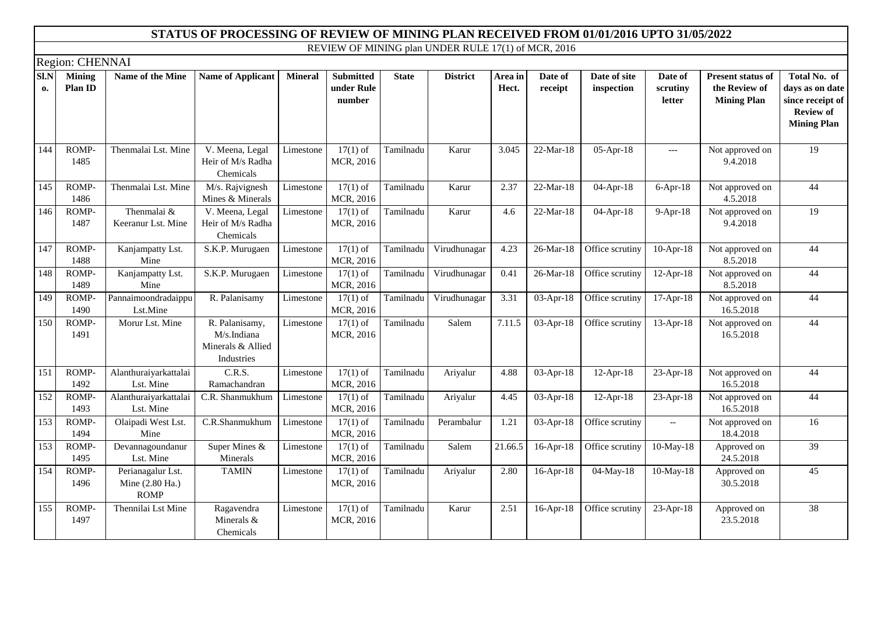|            | Region: CHENNAI          |                                                     |                                                                  |                |                                          |              |                 |                  |                    |                            |                               |                                                          |                                                                                               |
|------------|--------------------------|-----------------------------------------------------|------------------------------------------------------------------|----------------|------------------------------------------|--------------|-----------------|------------------|--------------------|----------------------------|-------------------------------|----------------------------------------------------------|-----------------------------------------------------------------------------------------------|
| Sl.N<br>0. | <b>Mining</b><br>Plan ID | Name of the Mine                                    | <b>Name of Applicant</b>                                         | <b>Mineral</b> | <b>Submitted</b><br>under Rule<br>number | <b>State</b> | <b>District</b> | Area in<br>Hect. | Date of<br>receipt | Date of site<br>inspection | Date of<br>scrutiny<br>letter | Present status of<br>the Review of<br><b>Mining Plan</b> | Total No. of<br>days as on date<br>since receipt of<br><b>Review of</b><br><b>Mining Plan</b> |
| 144        | ROMP-<br>1485            | Thenmalai Lst. Mine                                 | V. Meena, Legal<br>Heir of M/s Radha<br>Chemicals                | Limestone      | $17(1)$ of<br>MCR, 2016                  | Tamilnadu    | Karur           | 3.045            | 22-Mar-18          | 05-Apr-18                  | $---$                         | Not approved on<br>9.4.2018                              | 19                                                                                            |
| 145        | ROMP-<br>1486            | Thenmalai Lst. Mine                                 | $M/s.$ Rajvignesh<br>Mines & Minerals                            | Limestone      | $17(1)$ of<br>MCR, 2016                  | Tamilnadu    | Karur           | 2.37             | 22-Mar-18          | 04-Apr-18                  | $6-Apr-18$                    | Not approved on<br>4.5.2018                              | 44                                                                                            |
| 146        | ROMP-<br>1487            | Thenmalai &<br>Keeranur Lst. Mine                   | V. Meena, Legal<br>Heir of M/s Radha<br>Chemicals                | Limestone      | $17(1)$ of<br>MCR, 2016                  | Tamilnadu    | Karur           | 4.6              | 22-Mar-18          | 04-Apr-18                  | $9-Apr-18$                    | Not approved on<br>9.4.2018                              | 19                                                                                            |
| 147        | ROMP-<br>1488            | Kanjampatty Lst.<br>Mine                            | S.K.P. Murugaen                                                  | Limestone      | $17(1)$ of<br>MCR, 2016                  | Tamilnadu    | Virudhunagar    | 4.23             | 26-Mar-18          | Office scrutiny            | $10-Apr-18$                   | Not approved on<br>8.5.2018                              | 44                                                                                            |
| 148        | ROMP-<br>1489            | Kanjampatty Lst.<br>Mine                            | S.K.P. Murugaen                                                  | Limestone      | $17(1)$ of<br>MCR, 2016                  | Tamilnadu    | Virudhunagar    | 0.41             | $26$ -Mar-18       | Office scrutiny            | 12-Apr-18                     | Not approved on<br>8.5.2018                              | 44                                                                                            |
| 149        | ROMP-<br>1490            | Pannaimoondradaippu<br>Lst.Mine                     | R. Palanisamy                                                    | Limestone      | $17(1)$ of<br>MCR, 2016                  | Tamilnadu    | Virudhunagar    | 3.31             | 03-Apr-18          | Office scrutiny            | 17-Apr-18                     | Not approved on<br>16.5.2018                             | 44                                                                                            |
| 150        | ROMP-<br>1491            | Morur Lst. Mine                                     | R. Palanisamy,<br>M/s.Indiana<br>Minerals & Allied<br>Industries | Limestone      | $17(1)$ of<br>MCR, 2016                  | Tamilnadu    | Salem           | 7.11.5           | 03-Apr-18          | Office scrutiny            | 13-Apr-18                     | Not approved on<br>16.5.2018                             | 44                                                                                            |
| 151        | ROMP-<br>1492            | Alanthuraiyarkattalai<br>Lst. Mine                  | C.R.S.<br>Ramachandran                                           | Limestone      | $17(1)$ of<br>MCR, 2016                  | Tamilnadu    | Ariyalur        | 4.88             | 03-Apr-18          | $12-Apr-18$                | 23-Apr-18                     | Not approved on<br>16.5.2018                             | 44                                                                                            |
| 152        | ROMP-<br>1493            | Alanthuraiyarkattalai<br>Lst. Mine                  | C.R. Shanmukhum                                                  | Limestone      | $17(1)$ of<br>MCR, 2016                  | Tamilnadu    | Ariyalur        | 4.45             | 03-Apr-18          | $12-Apr-18$                | 23-Apr-18                     | Not approved on<br>16.5.2018                             | 44                                                                                            |
| 153        | ROMP-<br>1494            | Olaipadi West Lst.<br>Mine                          | $\overline{C.R}$ . Shanmukhum                                    | Limestone      | $17(1)$ of<br>MCR, 2016                  | Tamilnadu    | Perambalur      | 1.21             | 03-Apr-18          | Office scrutiny            | $-$                           | Not approved on<br>18.4.2018                             | 16                                                                                            |
| 153        | ROMP-<br>1495            | Devannagoundanur<br>Lst. Mine                       | Super Mines &<br>Minerals                                        | Limestone      | $17(1)$ of<br>MCR, 2016                  | Tamilnadu    | Salem           | 21.66.5          | $16$ -Apr- $18$    | Office scrutiny            | 10-May-18                     | Approved on<br>24.5.2018                                 | 39                                                                                            |
| 154        | ROMP-<br>1496            | Perianagalur Lst.<br>Mine (2.80 Ha.)<br><b>ROMP</b> | <b>TAMIN</b>                                                     | Limestone      | $17(1)$ of<br>MCR, 2016                  | Tamilnadu    | Ariyalur        | 2.80             | $16$ -Apr- $18$    | 04-May-18                  | 10-May-18                     | Approved on<br>30.5.2018                                 | 45                                                                                            |
| 155        | ROMP-<br>1497            | Thennilai Lst Mine                                  | Ragavendra<br>Minerals &<br>Chemicals                            | Limestone      | $17(1)$ of<br>MCR, 2016                  | Tamilnadu    | Karur           | 2.51             | 16-Apr-18          | Office scrutiny            | $23-Apr-18$                   | Approved on<br>23.5.2018                                 | 38                                                                                            |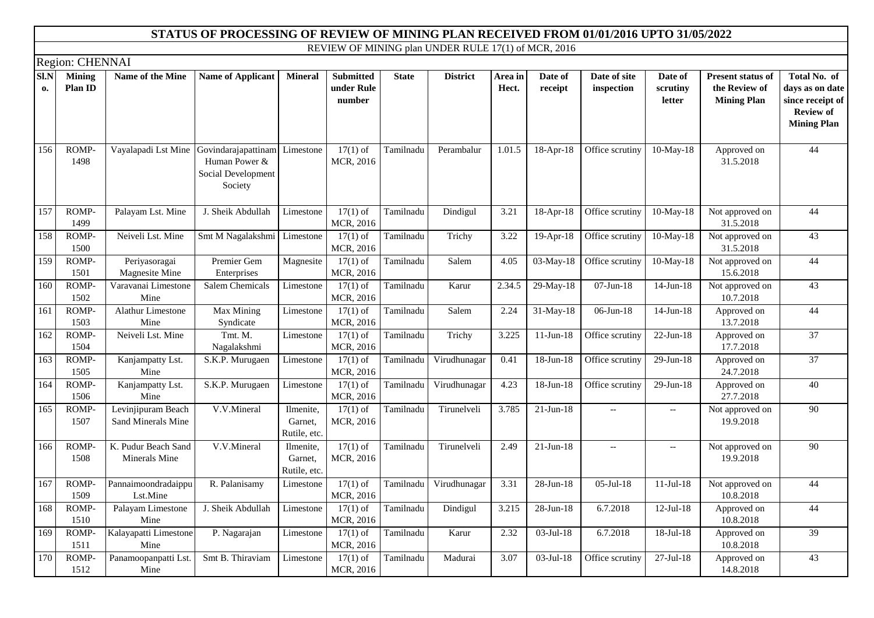|            |                          |                                          | STATUS OF PROCESSING OF REVIEW OF MINING PLAN RECEIVED FROM 01/01/2016 UPTO 31/05/2022 |                                      |                                          |              |                                                     |                  |                         |                            |                               |                                                                 |                                                                                               |
|------------|--------------------------|------------------------------------------|----------------------------------------------------------------------------------------|--------------------------------------|------------------------------------------|--------------|-----------------------------------------------------|------------------|-------------------------|----------------------------|-------------------------------|-----------------------------------------------------------------|-----------------------------------------------------------------------------------------------|
|            |                          |                                          |                                                                                        |                                      |                                          |              | REVIEW OF MINING plan UNDER RULE 17(1) of MCR, 2016 |                  |                         |                            |                               |                                                                 |                                                                                               |
|            | Region: CHENNAI          |                                          |                                                                                        |                                      |                                          |              |                                                     |                  |                         |                            |                               |                                                                 |                                                                                               |
| SI.N<br>0. | <b>Mining</b><br>Plan ID | Name of the Mine                         | <b>Name of Applicant</b>                                                               | <b>Mineral</b>                       | <b>Submitted</b><br>under Rule<br>number | <b>State</b> | <b>District</b>                                     | Area in<br>Hect. | Date of<br>receipt      | Date of site<br>inspection | Date of<br>scrutiny<br>letter | <b>Present status of</b><br>the Review of<br><b>Mining Plan</b> | Total No. of<br>days as on date<br>since receipt of<br><b>Review of</b><br><b>Mining Plan</b> |
| 156        | ROMP-<br>1498            | Vayalapadi Lst Mine                      | Govindarajapattinam<br>Human Power &<br>Social Development<br>Society                  | Limestone                            | $17(1)$ of<br>MCR, 2016                  | Tamilnadu    | Perambalur                                          | 1.01.5           | 18-Apr-18               | Office scrutiny            | $10-May-18$                   | Approved on<br>31.5.2018                                        | 44                                                                                            |
| 157        | ROMP-<br>1499            | Palayam Lst. Mine                        | J. Sheik Abdullah                                                                      | Limestone                            | $17(1)$ of<br>MCR, 2016                  | Tamilnadu    | Dindigul                                            | 3.21             | 18-Apr-18               | Office scrutiny            | $10-May-18$                   | Not approved on<br>31.5.2018                                    | 44                                                                                            |
| 158        | ROMP-<br>1500            | Neiveli Lst. Mine                        | Smt M Nagalakshmi                                                                      | Limestone                            | $17(1)$ of<br>MCR, 2016                  | Tamilnadu    | Trichy                                              | 3.22             | 19-Apr-18               | Office scrutiny            | $10$ -May-18                  | Not approved on<br>31.5.2018                                    | 43                                                                                            |
| 159        | ROMP-<br>1501            | Periyasoragai<br>Magnesite Mine          | Premier Gem<br>Enterprises                                                             | Magnesite                            | $17(1)$ of<br>MCR, 2016                  | Tamilnadu    | Salem                                               | 4.05             | 03-May-18               | Office scrutiny            | $10$ -May-18                  | Not approved on<br>15.6.2018                                    | 44                                                                                            |
| 160        | ROMP-<br>1502            | Varavanai Limestone<br>Mine              | Salem Chemicals                                                                        | Limestone                            | $17(1)$ of<br>MCR, 2016                  | Tamilnadu    | Karur                                               | 2.34.5           | 29-May-18               | $07$ -Jun-18               | $14$ -Jun- $18$               | Not approved on<br>10.7.2018                                    | 43                                                                                            |
| 161        | ROMP-<br>1503            | Alathur Limestone<br>Mine                | Max Mining<br>Syndicate                                                                | Limestone                            | $17(1)$ of<br>MCR, 2016                  | Tamilnadu    | $\overline{\text{Salem}}$                           | 2.24             | $\overline{31}$ -May-18 | $06$ -Jun-18               | $14$ -Jun- $18$               | Approved on<br>13.7.2018                                        | 44                                                                                            |
| 162        | ROMP-<br>1504            | Neiveli Lst. Mine                        | Tmt. M.<br>Nagalakshmi                                                                 | Limestone                            | $17(1)$ of<br>MCR, 2016                  | Tamilnadu    | Trichy                                              | 3.225            | $\overline{11}$ -Jun-18 | Office scrutiny            | $22-Jun-18$                   | Approved on<br>17.7.2018                                        | $\overline{37}$                                                                               |
| 163        | ROMP-<br>1505            | Kanjampatty Lst.<br>Mine                 | S.K.P. Murugaen                                                                        | Limestone                            | $17(1)$ of<br>MCR, 2016                  | Tamilnadu    | Virudhunagar                                        | 0.41             | 18-Jun-18               | Office scrutiny            | 29-Jun-18                     | Approved on<br>24.7.2018                                        | $\overline{37}$                                                                               |
| 164        | ROMP-<br>1506            | Kanjampatty Lst.<br>Mine                 | S.K.P. Murugaen                                                                        | Limestone                            | $17(1)$ of<br>MCR, 2016                  | Tamilnadu    | Virudhunagar                                        | 4.23             | 18-Jun-18               | Office scrutiny            | 29-Jun-18                     | Approved on<br>27.7.2018                                        | 40                                                                                            |
| 165        | ROMP-<br>1507            | Levinjipuram Beach<br>Sand Minerals Mine | V.V.Mineral                                                                            | Ilmenite,<br>Garnet,<br>Rutile, etc. | $17(1)$ of<br>MCR, 2016                  | Tamilnadu    | Tirunelveli                                         | 3.785            | $21-Jun-18$             | $\overline{\phantom{0}}$   | $- -$                         | Not approved on<br>19.9.2018                                    | 90                                                                                            |
| 166        | ROMP-<br>1508            | K. Pudur Beach Sand<br>Minerals Mine     | V.V.Mineral                                                                            | Ilmenite,<br>Garnet,<br>Rutile, etc. | $17(1)$ of<br>MCR, 2016                  | Tamilnadu    | Tirunelveli                                         | 2.49             | $21$ -Jun-18            | $\overline{\phantom{a}}$   | $- -$                         | Not approved on<br>19.9.2018                                    | $\overline{90}$                                                                               |
| 167        | ROMP-<br>1509            | Pannaimoondradaippu<br>Lst.Mine          | R. Palanisamy                                                                          | Limestone                            | $17(1)$ of<br>MCR, 2016                  | Tamilnadu    | Virudhunagar                                        | 3.31             | 28-Jun-18               | $05$ -Jul-18               | $11-Jul-18$                   | Not approved on<br>10.8.2018                                    | 44                                                                                            |
| 168        | ROMP-<br>1510            | Palayam Limestone<br>Mine                | J. Sheik Abdullah                                                                      | Limestone                            | $17(1)$ of<br>MCR, 2016                  | Tamilnadu    | Dindigul                                            | 3.215            | 28-Jun-18               | 6.7.2018                   | $12$ -Jul- $18$               | Approved on<br>10.8.2018                                        | 44                                                                                            |
| 169        | ROMP-<br>1511            | Kalayapatti Limestone<br>Mine            | P. Nagarajan                                                                           | Limestone                            | $17(1)$ of<br>MCR, 2016                  | Tamilnadu    | Karur                                               | 2.32             | 03-Jul-18               | 6.7.2018                   | $18-Jul-18$                   | Approved on<br>10.8.2018                                        | 39                                                                                            |
| 170        | ROMP-<br>1512            | Panamoopanpatti Lst.<br>Mine             | Smt B. Thiraviam                                                                       | Limestone                            | $17(1)$ of<br>MCR, 2016                  | Tamilnadu    | Madurai                                             | 3.07             | 03-Jul-18               | Office scrutiny            | $27$ -Jul- $18$               | Approved on<br>14.8.2018                                        | 43                                                                                            |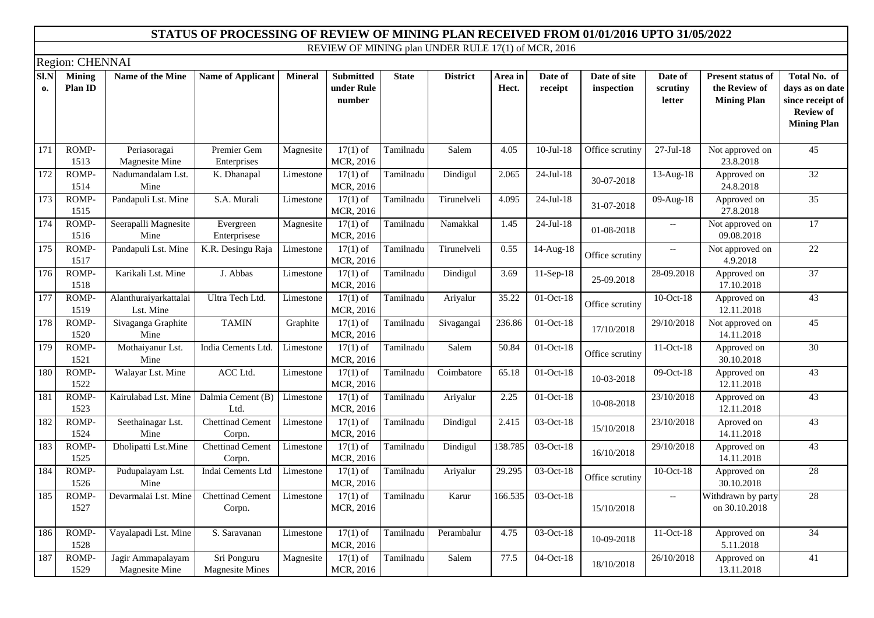|                  | Region: CHENNAI          |                                     |                                       |                |                                          |              |                 |                  |                    |                            |                                                     |                                                                 |                                                                                               |
|------------------|--------------------------|-------------------------------------|---------------------------------------|----------------|------------------------------------------|--------------|-----------------|------------------|--------------------|----------------------------|-----------------------------------------------------|-----------------------------------------------------------------|-----------------------------------------------------------------------------------------------|
| SI.N<br>0.       | <b>Mining</b><br>Plan ID | Name of the Mine                    | <b>Name of Applicant</b>              | <b>Mineral</b> | <b>Submitted</b><br>under Rule<br>number | <b>State</b> | <b>District</b> | Area in<br>Hect. | Date of<br>receipt | Date of site<br>inspection | Date of<br>scrutiny<br>letter                       | <b>Present status of</b><br>the Review of<br><b>Mining Plan</b> | Total No. of<br>days as on date<br>since receipt of<br><b>Review of</b><br><b>Mining Plan</b> |
| 171              | ROMP-<br>1513            | Periasoragai<br>Magnesite Mine      | Premier Gem<br>Enterprises            | Magnesite      | $17(1)$ of<br>MCR, 2016                  | Tamilnadu    | Salem           | 4.05             | $10-Jul-18$        | Office scrutiny            | $27-Jul-18$                                         | Not approved on<br>23.8.2018                                    | 45                                                                                            |
| 172              | ROMP-<br>1514            | Nadumandalam Lst.<br>Mine           | K. Dhanapal                           | Limestone      | $17(1)$ of<br>MCR, 2016                  | Tamilnadu    | Dindigul        | 2.065            | $24$ -Jul-18       | 30-07-2018                 | 13-Aug-18                                           | Approved on<br>24.8.2018                                        | $\overline{32}$                                                                               |
| 173              | ROMP-<br>1515            | Pandapuli Lst. Mine                 | S.A. Murali                           | Limestone      | $17(1)$ of<br>MCR, 2016                  | Tamilnadu    | Tirunelveli     | 4.095            | $24$ -Jul-18       | 31-07-2018                 | 09-Aug-18                                           | Approved on<br>27.8.2018                                        | $\overline{35}$                                                                               |
| 174              | ROMP-<br>1516            | Seerapalli Magnesite<br>Mine        | Evergreen<br>Enterprisese             | Magnesite      | $17(1)$ of<br>MCR, 2016                  | Tamilnadu    | Namakkal        | 1.45             | $24-Jul-18$        | 01-08-2018                 | $\hspace{0.05cm} -\hspace{0.05cm} -\hspace{0.05cm}$ | Not approved on<br>09.08.2018                                   | $\overline{17}$                                                                               |
| 175              | ROMP-<br>1517            | Pandapuli Lst. Mine                 | K.R. Desingu Raja                     | Limestone      | $17(1)$ of<br>MCR, 2016                  | Tamilnadu    | Tirunelveli     | 0.55             | 14-Aug-18          | Office scrutiny            | $\overline{\phantom{a}}$                            | Not approved on<br>4.9.2018                                     | $\overline{22}$                                                                               |
| 176              | ROMP-<br>1518            | Karikali Lst. Mine                  | J. Abbas                              | Limestone      | $17(1)$ of<br>MCR, 2016                  | Tamilnadu    | Dindigul        | 3.69             | $11-Sep-18$        | 25-09.2018                 | 28-09.2018                                          | Approved on<br>17.10.2018                                       | $\overline{37}$                                                                               |
| 177              | ROMP-<br>1519            | Alanthuraiyarkattalai<br>Lst. Mine  | Ultra Tech Ltd.                       | Limestone      | $17(1)$ of<br>MCR, 2016                  | Tamilnadu    | Ariyalur        | 35.22            | $01-Oct-18$        | Office scrutiny            | 10-Oct-18                                           | Approved on<br>12.11.2018                                       | $\overline{43}$                                                                               |
| 178              | ROMP-<br>1520            | Sivaganga Graphite<br>Mine          | <b>TAMIN</b>                          | Graphite       | $17(1)$ of<br>MCR, 2016                  | Tamilnadu    | Sivagangai      | 236.86           | 01-Oct-18          | 17/10/2018                 | 29/10/2018                                          | Not approved on<br>14.11.2018                                   | 45                                                                                            |
| $\overline{179}$ | ROMP-<br>1521            | Mothaiyanur Lst.<br>Mine            | India Cements Ltd.                    | Limestone      | $17(1)$ of<br>MCR, 2016                  | Tamilnadu    | Salem           | 50.84            | 01-Oct-18          | Office scrutiny            | 11-Oct-18                                           | Approved on<br>30.10.2018                                       | 30                                                                                            |
| 180              | ROMP-<br>1522            | Walayar Lst. Mine                   | ACC Ltd.                              | Limestone      | $17(1)$ of<br>MCR, 2016                  | Tamilnadu    | Coimbatore      | 65.18            | 01-Oct-18          | 10-03-2018                 | 09-Oct-18                                           | Approved on<br>12.11.2018                                       | $\overline{43}$                                                                               |
| 181              | ROMP-<br>1523            | Kairulabad Lst. Mine                | Dalmia Cement (B)<br>Ltd.             | Limestone      | $17(1)$ of<br>MCR, 2016                  | Tamilnadu    | Ariyalur        | 2.25             | 01-Oct-18          | 10-08-2018                 | 23/10/2018                                          | Approved on<br>12.11.2018                                       | 43                                                                                            |
| 182              | ROMP-<br>1524            | Seethainagar Lst.<br>Mine           | Chettinad Cement<br>Corpn.            | Limestone      | $17(1)$ of<br>MCR, 2016                  | Tamilnadu    | Dindigul        | 2.415            | 03-Oct-18          | 15/10/2018                 | 23/10/2018                                          | Aproved on<br>14.11.2018                                        | $\overline{43}$                                                                               |
| 183              | ROMP-<br>1525            | Dholipatti Lst.Mine                 | <b>Chettinad Cement</b><br>Corpn.     | Limestone      | $17(1)$ of<br>MCR, 2016                  | Tamilnadu    | Dindigul        | 138.785          | 03-Oct-18          | 16/10/2018                 | 29/10/2018                                          | Approved on<br>14.11.2018                                       | 43                                                                                            |
| 184              | ROMP-<br>1526            | Pudupalayam Lst.<br>Mine            | Indai Cements Ltd                     | Limestone      | $17(1)$ of<br>MCR, 2016                  | Tamilnadu    | Ariyalur        | 29.295           | 03-Oct-18          | Office scrutiny            | $10$ -Oct- $18$                                     | Approved on<br>30.10.2018                                       | 28                                                                                            |
| 185              | ROMP-<br>1527            | Devarmalai Lst. Mine                | <b>Chettinad Cement</b><br>Corpn.     | Limestone      | $17(1)$ of<br>MCR, 2016                  | Tamilnadu    | Karur           | 166.535          | $03-Oct-18$        | 15/10/2018                 | $\overline{\phantom{a}}$                            | Withdrawn by party<br>on 30.10.2018                             | 28                                                                                            |
| 186              | ROMP-<br>1528            | Vayalapadi Lst. Mine                | S. Saravanan                          | Limestone      | $17(1)$ of<br>MCR, 2016                  | Tamilnadu    | Perambalur      | 4.75             | 03-Oct-18          | 10-09-2018                 | 11-Oct-18                                           | Approved on<br>5.11.2018                                        | $\overline{34}$                                                                               |
| 187              | ROMP-<br>1529            | Jagir Ammapalayam<br>Magnesite Mine | Sri Ponguru<br><b>Magnesite Mines</b> | Magnesite      | $17(1)$ of<br>MCR, 2016                  | Tamilnadu    | Salem           | 77.5             | $04-Oct-18$        | 18/10/2018                 | 26/10/2018                                          | Approved on<br>13.11.2018                                       | $\overline{41}$                                                                               |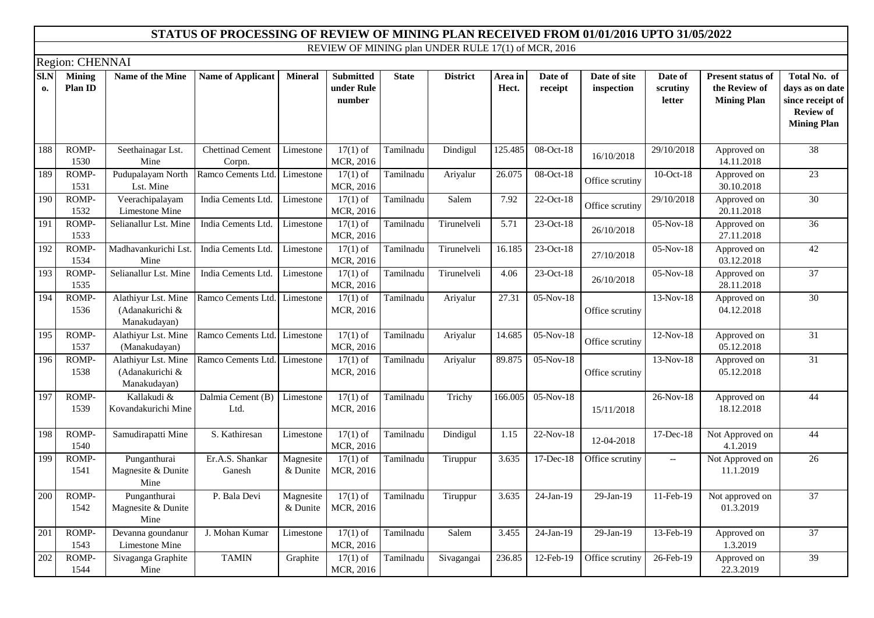|                      | Region: CHENNAI          |                                                        |                                   |                       |                                          |              |                 |                  |                         |                            |                               |                                                                 |                                                                                               |
|----------------------|--------------------------|--------------------------------------------------------|-----------------------------------|-----------------------|------------------------------------------|--------------|-----------------|------------------|-------------------------|----------------------------|-------------------------------|-----------------------------------------------------------------|-----------------------------------------------------------------------------------------------|
| SI.N<br>$\mathbf{0}$ | <b>Mining</b><br>Plan ID | Name of the Mine                                       | <b>Name of Applicant</b>          | <b>Mineral</b>        | <b>Submitted</b><br>under Rule<br>number | <b>State</b> | <b>District</b> | Area in<br>Hect. | Date of<br>receipt      | Date of site<br>inspection | Date of<br>scrutiny<br>letter | <b>Present status of</b><br>the Review of<br><b>Mining Plan</b> | Total No. of<br>days as on date<br>since receipt of<br><b>Review of</b><br><b>Mining Plan</b> |
| 188                  | ROMP-<br>1530            | Seethainagar Lst.<br>Mine                              | <b>Chettinad Cement</b><br>Corpn. | Limestone             | $17(1)$ of<br>MCR, 2016                  | Tamilnadu    | Dindigul        | 125.485          | $08-Oct-18$             | 16/10/2018                 | 29/10/2018                    | Approved on<br>14.11.2018                                       | $\overline{38}$                                                                               |
| 189                  | ROMP-<br>1531            | Pudupalayam North<br>Lst. Mine                         | Ramco Cements Ltd.                | Limestone             | $17(1)$ of<br>MCR, 2016                  | Tamilnadu    | Ariyalur        | 26.075           | 08-Oct-18               | Office scrutiny            | $10$ -Oct- $18$               | Approved on<br>30.10.2018                                       | 23                                                                                            |
| 190                  | ROMP-<br>1532            | Veerachipalayam<br>Limestone Mine                      | India Cements Ltd.                | Limestone             | $17(1)$ of<br>MCR, 2016                  | Tamilnadu    | Salem           | 7.92             | $22-Oct-18$             | Office scrutiny            | 29/10/2018                    | Approved on<br>20.11.2018                                       | 30                                                                                            |
| 191                  | ROMP-<br>1533            | Selianallur Lst. Mine                                  | India Cements Ltd.                | Limestone             | $17(1)$ of<br>MCR, 2016                  | Tamilnadu    | Tirunelveli     | 5.71             | 23-Oct-18               | 26/10/2018                 | 05-Nov-18                     | Approved on<br>27.11.2018                                       | $\overline{36}$                                                                               |
| 192                  | ROMP-<br>1534            | Madhavankurichi Lst.<br>Mine                           | India Cements Ltd.                | Limestone             | $17(1)$ of<br>MCR, 2016                  | Tamilnadu    | Tirunelveli     | 16.185           | 23-Oct-18               | 27/10/2018                 | 05-Nov-18                     | Approved on<br>03.12.2018                                       | 42                                                                                            |
| 193                  | ROMP-<br>1535            | Selianallur Lst. Mine                                  | India Cements Ltd.                | Limestone             | $17(1)$ of<br>MCR, 2016                  | Tamilnadu    | Tirunelveli     | 4.06             | 23-Oct-18               | 26/10/2018                 | 05-Nov-18                     | Approved on<br>28.11.2018                                       | 37                                                                                            |
| 194                  | ROMP-<br>1536            | Alathiyur Lst. Mine<br>(Adanakurichi &<br>Manakudayan) | Ramco Cements Ltd.                | Limestone             | $17(1)$ of<br>MCR, 2016                  | Tamilnadu    | Ariyalur        | 27.31            | $05-Nov-18$             | Office scrutiny            | $13-Nov-18$                   | Approved on<br>04.12.2018                                       | 30                                                                                            |
| 195                  | ROMP-<br>1537            | Alathiyur Lst. Mine<br>(Manakudayan)                   | Ramco Cements Ltd.                | Limestone             | $17(1)$ of<br>MCR, 2016                  | Tamilnadu    | Ariyalur        | 14.685           | $05-Nov-18$             | Office scrutiny            | $12-Nov-18$                   | Approved on<br>05.12.2018                                       | 31                                                                                            |
| 196                  | ROMP-<br>1538            | Alathiyur Lst. Mine<br>(Adanakurichi &<br>Manakudayan) | Ramco Cements Ltd.                | Limestone             | $17(1)$ of<br>MCR, 2016                  | Tamilnadu    | Ariyalur        | 89.875           | $05-Nov-18$             | Office scrutiny            | $13-Nov-18$                   | Approved on<br>05.12.2018                                       | 31                                                                                            |
| 197                  | ROMP-<br>1539            | Kallakudi &<br>Kovandakurichi Mine                     | Dalmia Cement (B)<br>Ltd.         | Limestone             | $17(1)$ of<br>MCR, 2016                  | Tamilnadu    | Trichy          | 166.005          | $05-Nov-18$             | 15/11/2018                 | 26-Nov-18                     | Approved on<br>18.12.2018                                       | 44                                                                                            |
| 198                  | ROMP-<br>1540            | Samudirapatti Mine                                     | S. Kathiresan                     | Limestone             | $17(1)$ of<br>MCR, 2016                  | Tamilnadu    | Dindigul        | 1.15             | $\overline{22}$ -Nov-18 | 12-04-2018                 | 17-Dec-18                     | Not Approved on<br>4.1.2019                                     | 44                                                                                            |
| 199                  | ROMP-<br>1541            | Punganthurai<br>Magnesite & Dunite<br>Mine             | Er.A.S. Shankar<br>Ganesh         | Magnesite<br>& Dunite | $17(1)$ of<br>MCR, 2016                  | Tamilnadu    | Tiruppur        | 3.635            | 17-Dec-18               | Office scrutiny            | $\overline{\phantom{a}}$      | Not Approved on<br>11.1.2019                                    | $\overline{26}$                                                                               |
| 200                  | ROMP-<br>1542            | Punganthurai<br>Magnesite & Dunite<br>Mine             | P. Bala Devi                      | Magnesite<br>& Dunite | $17(1)$ of<br>MCR, 2016                  | Tamilnadu    | Tiruppur        | 3.635            | 24-Jan-19               | 29-Jan-19                  | 11-Feb-19                     | Not approved on<br>01.3.2019                                    | $\overline{37}$                                                                               |
| 201                  | ROMP-<br>1543            | Devanna goundanur<br>Limestone Mine                    | J. Mohan Kumar                    | Limestone             | $17(1)$ of<br>MCR, 2016                  | Tamilnadu    | Salem           | 3.455            | $\overline{24}$ -Jan-19 | 29-Jan-19                  | 13-Feb-19                     | Approved on<br>1.3.2019                                         | 37                                                                                            |
| 202                  | ROMP-<br>1544            | Sivaganga Graphite<br>Mine                             | <b>TAMIN</b>                      | Graphite              | $17(1)$ of<br>MCR, 2016                  | Tamilnadu    | Sivagangai      | 236.85           | 12-Feb-19               | Office scrutiny            | 26-Feb-19                     | Approved on<br>22.3.2019                                        | $\overline{39}$                                                                               |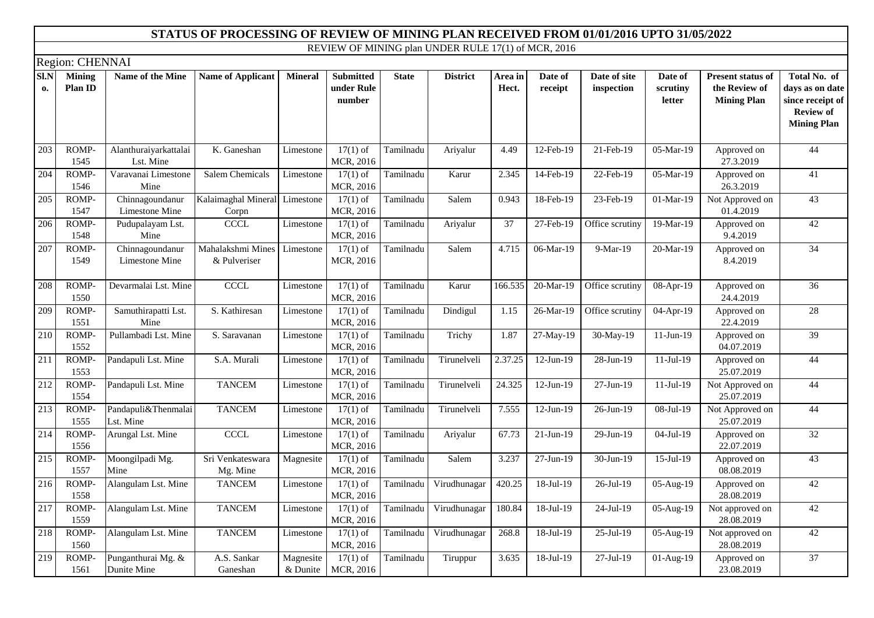|            | Region: CHENNAI          |                                    |                                   |                         |                                          |              |                 |                  |                         |                            |                               |                                                                 |                                                                                               |
|------------|--------------------------|------------------------------------|-----------------------------------|-------------------------|------------------------------------------|--------------|-----------------|------------------|-------------------------|----------------------------|-------------------------------|-----------------------------------------------------------------|-----------------------------------------------------------------------------------------------|
| SI.N<br>0. | <b>Mining</b><br>Plan ID | Name of the Mine                   | <b>Name of Applicant</b>          | <b>Mineral</b>          | <b>Submitted</b><br>under Rule<br>number | <b>State</b> | <b>District</b> | Area in<br>Hect. | Date of<br>receipt      | Date of site<br>inspection | Date of<br>scrutiny<br>letter | <b>Present status of</b><br>the Review of<br><b>Mining Plan</b> | Total No. of<br>days as on date<br>since receipt of<br><b>Review of</b><br><b>Mining Plan</b> |
| 203        | ROMP-<br>1545            | Alanthuraiyarkattalai<br>Lst. Mine | $\overline{K}$ . Ganeshan         | Limestone               | $17(1)$ of<br>MCR, 2016                  | Tamilnadu    | Ariyalur        | 4.49             | 12-Feb-19               | 21-Feb-19                  | 05-Mar-19                     | Approved on<br>27.3.2019                                        | 44                                                                                            |
| 204        | ROMP-<br>1546            | Varavanai Limestone<br>Mine        | <b>Salem Chemicals</b>            | Limestone               | $17(1)$ of<br>MCR, 2016                  | Tamilnadu    | Karur           | 2.345            | 14-Feb-19               | 22-Feb-19                  | 05-Mar-19                     | Approved on<br>26.3.2019                                        | $\overline{41}$                                                                               |
| 205        | ROMP-<br>1547            | Chinnagoundanur<br>Limestone Mine  | Kalaimaghal Mineral<br>Corpn      | Limestone               | $17(1)$ of<br>MCR, 2016                  | Tamilnadu    | Salem           | 0.943            | 18-Feb-19               | 23-Feb-19                  | 01-Mar-19                     | Not Approved on<br>01.4.2019                                    | $\overline{43}$                                                                               |
| 206        | ROMP-<br>1548            | Pudupalayam Lst.<br>Mine           | <b>CCCL</b>                       | Limestone               | $17(1)$ of<br>MCR, 2016                  | Tamilnadu    | Ariyalur        | $\overline{37}$  | 27-Feb-19               | Office scrutiny            | 19-Mar-19                     | Approved on<br>9.4.2019                                         | 42                                                                                            |
| 207        | ROMP-<br>1549            | Chinnagoundanur<br>Limestone Mine  | Mahalakshmi Mines<br>& Pulveriser | Limestone               | $17(1)$ of<br>MCR, 2016                  | Tamilnadu    | Salem           | 4.715            | 06-Mar-19               | 9-Mar-19                   | 20-Mar-19                     | Approved on<br>8.4.2019                                         | $\overline{34}$                                                                               |
| 208        | ROMP-<br>1550            | Devarmalai Lst. Mine               | <b>CCCL</b>                       | Limestone               | $17(1)$ of<br>MCR, 2016                  | Tamilnadu    | Karur           | 166.535          | 20-Mar-19               | Office scrutiny            | 08-Apr-19                     | Approved on<br>24.4.2019                                        | $\overline{36}$                                                                               |
| 209        | ROMP-<br>1551            | Samuthirapatti Lst.<br>Mine        | S. Kathiresan                     | Limestone               | $17(1)$ of<br>MCR, 2016                  | Tamilnadu    | Dindigul        | 1.15             | 26-Mar-19               | Office scrutiny            | 04-Apr-19                     | Approved on<br>22.4.2019                                        | 28                                                                                            |
| 210        | ROMP-<br>1552            | Pullambadi Lst. Mine               | S. Saravanan                      | Limestone               | $17(1)$ of<br>MCR, 2016                  | Tamilnadu    | Trichy          | 1.87             | 27-May-19               | 30-May-19                  | $11-Jun-19$                   | Approved on<br>04.07.2019                                       | 39                                                                                            |
| 211        | ROMP-<br>1553            | Pandapuli Lst. Mine                | S.A. Murali                       | Limestone               | $17(1)$ of<br>MCR, 2016                  | Tamilnadu    | Tirunelveli     | 2.37.25          | $12-Jun-19$             | $\overline{28}$ -Jun-19    | $11-Jul-19$                   | Approved on<br>25.07.2019                                       | 44                                                                                            |
| 212        | ROMP-<br>1554            | Pandapuli Lst. Mine                | <b>TANCEM</b>                     | Limestone               | $17(1)$ of<br>MCR, 2016                  | Tamilnadu    | Tirunelveli     | 24.325           | $12-Jun-19$             | 27-Jun-19                  | $11-Jul-19$                   | Not Approved on<br>25.07.2019                                   | 44                                                                                            |
| 213        | ROMP-<br>1555            | Pandapuli&Thenmalai<br>Lst. Mine   | <b>TANCEM</b>                     | Limestone               | $17(1)$ of<br>MCR, 2016                  | Tamilnadu    | Tirunelveli     | 7.555            | $12-Jun-19$             | 26-Jun-19                  | 08-Jul-19                     | Not Approved on<br>25.07.2019                                   | 44                                                                                            |
| 214        | ROMP-<br>1556            | Arungal Lst. Mine                  | CCCL                              | Limestone               | $17(1)$ of<br>MCR, 2016                  | Tamilnadu    | Ariyalur        | 67.73            | $\overline{21}$ -Jun-19 | 29-Jun-19                  | 04-Jul-19                     | Approved on<br>22.07.2019                                       | $\overline{32}$                                                                               |
| 215        | ROMP-<br>1557            | Moongilpadi Mg.<br>Mine            | Sri Venkateswara<br>Mg. Mine      | Magnesite               | $17(1)$ of<br>MCR, 2016                  | Tamilnadu    | Salem           | 3.237            | 27-Jun-19               | 30-Jun-19                  | 15-Jul-19                     | Approved on<br>08.08.2019                                       | 43                                                                                            |
| 216        | ROMP-<br>1558            | Alangulam Lst. Mine                | <b>TANCEM</b>                     | Limestone               | $17(1)$ of<br>MCR, 2016                  | Tamilnadu    | Virudhunagar    | 420.25           | 18-Jul-19               | 26-Jul-19                  | 05-Aug-19                     | Approved on<br>28.08.2019                                       | 42                                                                                            |
| 217        | ROMP-<br>1559            | Alangulam Lst. Mine                | <b>TANCEM</b>                     | Limestone               | $17(1)$ of<br>MCR, 2016                  | Tamilnadu    | Virudhunagar    | 180.84           | 18-Jul-19               | 24-Jul-19                  | 05-Aug-19                     | Not approved on<br>28.08.2019                                   | 42                                                                                            |
| 218        | ROMP-<br>1560            | Alangulam Lst. Mine                | <b>TANCEM</b>                     | Limestone               | $17(1)$ of<br>MCR, 2016                  | Tamilnadu    | Virudhunagar    | 268.8            | 18-Jul-19               | 25-Jul-19                  | $\overline{05}$ -Aug-19       | Not approved on<br>28.08.2019                                   | 42                                                                                            |
| 219        | ROMP-<br>1561            | Punganthurai Mg. &<br>Dunite Mine  | A.S. Sankar<br>Ganeshan           | Magnesite<br>$&$ Dunite | $17(1)$ of<br>MCR, 2016                  | Tamilnadu    | Tiruppur        | 3.635            | $18-Jul-19$             | 27-Jul-19                  | 01-Aug-19                     | Approved on<br>23.08.2019                                       | 37                                                                                            |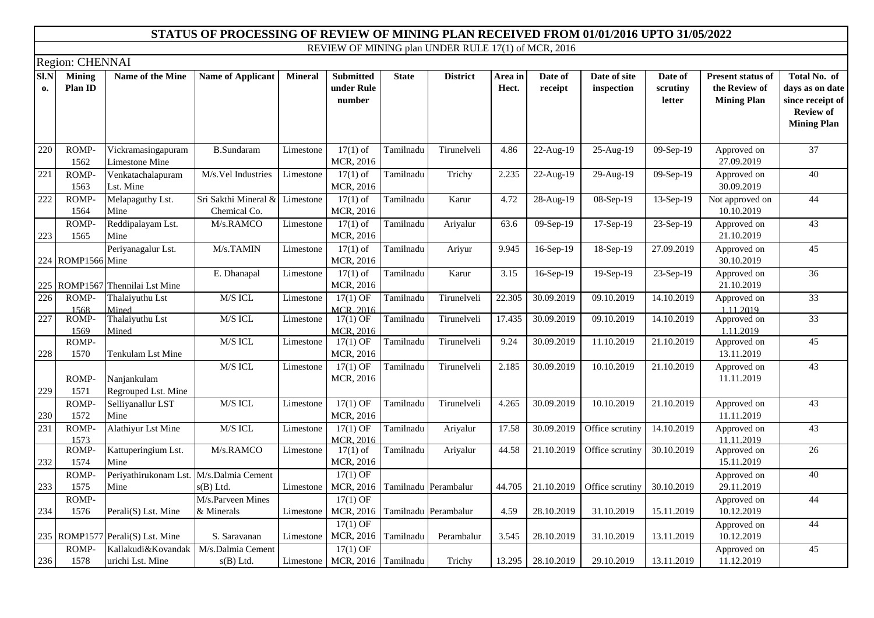|                          | Region: CHENNAI                 |                                             |                                      |                |                                          |                      |                 |                  |                    |                            |                               |                                                                 |                                                                                               |
|--------------------------|---------------------------------|---------------------------------------------|--------------------------------------|----------------|------------------------------------------|----------------------|-----------------|------------------|--------------------|----------------------------|-------------------------------|-----------------------------------------------------------------|-----------------------------------------------------------------------------------------------|
| $\overline{SI}$ .N<br>0. | <b>Mining</b><br><b>Plan ID</b> | Name of the Mine                            | <b>Name of Applicant</b>             | <b>Mineral</b> | <b>Submitted</b><br>under Rule<br>number | <b>State</b>         | <b>District</b> | Area in<br>Hect. | Date of<br>receipt | Date of site<br>inspection | Date of<br>scrutiny<br>letter | <b>Present status of</b><br>the Review of<br><b>Mining Plan</b> | Total No. of<br>days as on date<br>since receipt of<br><b>Review of</b><br><b>Mining Plan</b> |
| 220                      | ROMP-<br>1562                   | Vickramasingapuram<br><b>Limestone Mine</b> | <b>B.Sundaram</b>                    | Limestone      | $17(1)$ of<br>MCR, 2016                  | Tamilnadu            | Tirunelveli     | 4.86             | 22-Aug-19          | 25-Aug-19                  | 09-Sep-19                     | Approved on<br>27.09.2019                                       | $\overline{37}$                                                                               |
| 221                      | ROMP-<br>1563                   | Venkatachalapuram<br>Lst. Mine              | M/s.Vel Industries                   | Limestone      | $17(1)$ of<br>MCR, 2016                  | Tamilnadu            | Trichy          | 2.235            | 22-Aug-19          | 29-Aug-19                  | 09-Sep-19                     | Approved on<br>30.09.2019                                       | 40                                                                                            |
| 222                      | ROMP-<br>1564                   | Melapaguthy Lst.<br>Mine                    | Sri Sakthi Mineral &<br>Chemical Co. | Limestone      | $17(1)$ of<br>MCR, 2016                  | Tamilnadu            | Karur           | 4.72             | 28-Aug-19          | 08-Sep-19                  | 13-Sep-19                     | Not approved on<br>10.10.2019                                   | 44                                                                                            |
| 223                      | ROMP-<br>1565                   | Reddipalayam Lst.<br>Mine                   | M/s.RAMCO                            | Limestone      | $17(1)$ of<br>MCR, 2016                  | Tamilnadu            | Ariyalur        | 63.6             | 09-Sep-19          | 17-Sep-19                  | 23-Sep-19                     | Approved on<br>21.10.2019                                       | 43                                                                                            |
|                          | 224 ROMP1566 Mine               | Periyanagalur Lst.                          | M/s.TAMIN                            | Limestone      | $17(1)$ of<br>MCR, 2016                  | Tamilnadu            | Ariyur          | 9.945            | 16-Sep-19          | $\overline{18}$ -Sep-19    | 27.09.2019                    | Approved on<br>30.10.2019                                       | 45                                                                                            |
|                          | 225 ROMP1567                    | Thennilai Lst Mine                          | E. Dhanapal                          | Limestone      | $17(1)$ of<br>MCR, 2016                  | Tamilnadu            | Karur           | 3.15             | 16-Sep-19          | 19-Sep-19                  | 23-Sep-19                     | Approved on<br>21.10.2019                                       | $\overline{36}$                                                                               |
| 226                      | ROMP-<br>1568                   | Thalaiyuthu Lst<br>Mined                    | M/S ICL                              | Limestone      | $17(1)$ OF<br>MCR, 2016                  | Tamilnadu            | Tirunelveli     | 22.305           | 30.09.2019         | 09.10.2019                 | 14.10.2019                    | Approved on<br>1.11.2019                                        | 33                                                                                            |
| 227                      | ROMP-<br>1569                   | Thalaiyuthu Lst<br>Mined                    | M/S ICL                              | Limestone      | $17(1)$ OF<br>MCR, 2016                  | Tamilnadu            | Tirunelveli     | 17.435           | 30.09.2019         | 09.10.2019                 | 14.10.2019                    | Approved on<br>1.11.2019                                        | 33                                                                                            |
| 228                      | ROMP-<br>1570                   | Tenkulam Lst Mine                           | M/S ICL                              | Limestone      | $17(1)$ OF<br>MCR, 2016                  | Tamilnadu            | Tirunelveli     | 9.24             | 30.09.2019         | 11.10.2019                 | 21.10.2019                    | Approved on<br>13.11.2019                                       | 45                                                                                            |
| 229                      | ROMP-<br>1571                   | Nanjankulam<br>Regrouped Lst. Mine          | M/S ICL                              | Limestone      | $17(1)$ OF<br>MCR, 2016                  | Tamilnadu            | Tirunelveli     | 2.185            | 30.09.2019         | 10.10.2019                 | 21.10.2019                    | Approved on<br>11.11.2019                                       | $\overline{43}$                                                                               |
| 230                      | ROMP-<br>1572                   | Selliyanallur LST<br>Mine                   | M/S ICL                              | Limestone      | $17(1)$ OF<br>MCR, 2016                  | Tamilnadu            | Tirunelveli     | 4.265            | 30.09.2019         | 10.10.2019                 | $\overline{21}.10.2019$       | Approved on<br>11.11.2019                                       | $\overline{43}$                                                                               |
| 231                      | ROMP-<br>1573                   | Alathiyur Lst Mine                          | M/S ICL                              | Limestone      | $17(1)$ OF<br><b>MCR. 2016</b>           | Tamilnadu            | Ariyalur        | 17.58            | 30.09.2019         | Office scrutiny            | 14.10.2019                    | Approved on<br>11.11.2019                                       | 43                                                                                            |
| 232                      | ROMP-<br>1574                   | Kattuperingium Lst.<br>Mine                 | M/s.RAMCO                            | Limestone      | $17(1)$ of<br>MCR, 2016                  | Tamilnadu            | Ariyalur        | 44.58            | 21.10.2019         | Office scrutiny            | 30.10.2019                    | Approved on<br>15.11.2019                                       | 26                                                                                            |
| 233                      | ROMP-<br>1575                   | Periyathirukonam Lst.<br>Mine               | M/s.Dalmia Cement<br>$s(B)$ Ltd.     | Limestone      | $17(1)$ OF<br>MCR, 2016                  | Tamilnadu Perambalur |                 | 44.705           | 21.10.2019         | Office scrutiny            | 30.10.2019                    | Approved on<br>29.11.2019                                       | 40                                                                                            |
| 234                      | ROMP-<br>1576                   | Perali(S) Lst. Mine                         | M/s.Parveen Mines<br>& Minerals      | Limestone      | $17(1)$ OF<br>MCR, 2016                  | Tamilnadu Perambalur |                 | 4.59             | 28.10.2019         | 31.10.2019                 | 15.11.2019                    | Approved on<br>10.12.2019                                       | 44                                                                                            |
|                          |                                 | 235 ROMP1577 Perali(S) Lst. Mine            | S. Saravanan                         | Limestone      | $17(1)$ OF<br>MCR, 2016                  | Tamilnadu            | Perambalur      | 3.545            | 28.10.2019         | 31.10.2019                 | 13.11.2019                    | Approved on<br>10.12.2019                                       | 44                                                                                            |
| 236                      | ROMP-<br>1578                   | Kallakudi&Kovandak<br>urichi Lst. Mine      | M/s.Dalmia Cement<br>$s(B)$ Ltd.     | Limestone      | $17(1)$ OF<br>MCR, 2016 Tamilnadu        |                      | Trichy          | 13.295           | 28.10.2019         | 29.10.2019                 | 13.11.2019                    | Approved on<br>11.12.2019                                       | 45                                                                                            |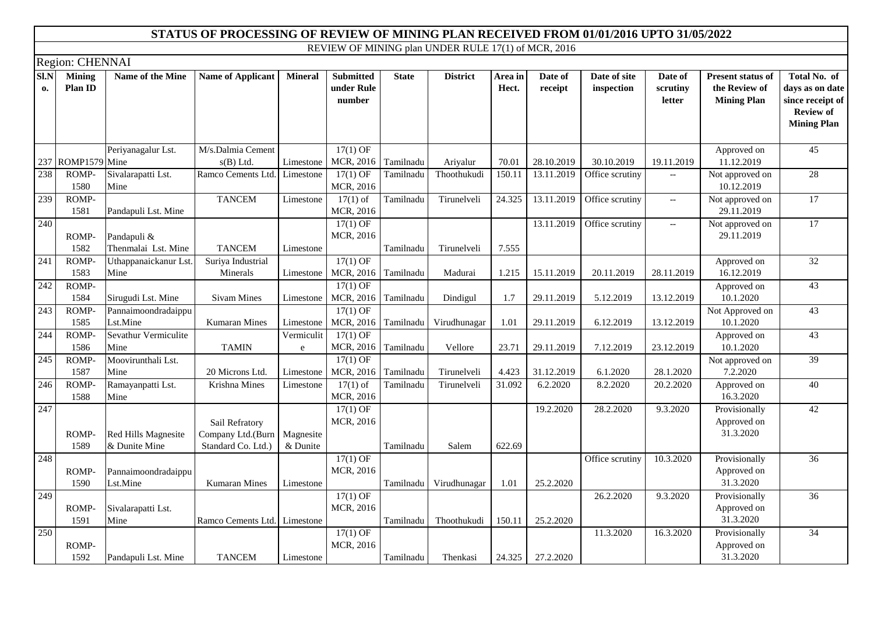|                   | Region: CHENNAI          |                                      |                                                                       |                       |                                          |              |                 |                  |                    |                            |                                                     |                                                                 |                                                                                               |
|-------------------|--------------------------|--------------------------------------|-----------------------------------------------------------------------|-----------------------|------------------------------------------|--------------|-----------------|------------------|--------------------|----------------------------|-----------------------------------------------------|-----------------------------------------------------------------|-----------------------------------------------------------------------------------------------|
| <b>SI.N</b><br>0. | <b>Mining</b><br>Plan ID | Name of the Mine                     | <b>Name of Applicant</b>                                              | <b>Mineral</b>        | <b>Submitted</b><br>under Rule<br>number | <b>State</b> | <b>District</b> | Area in<br>Hect. | Date of<br>receipt | Date of site<br>inspection | Date of<br>scrutiny<br>letter                       | <b>Present status of</b><br>the Review of<br><b>Mining Plan</b> | Total No. of<br>days as on date<br>since receipt of<br><b>Review of</b><br><b>Mining Plan</b> |
|                   |                          | Periyanagalur Lst.                   | M/s.Dalmia Cement                                                     |                       | $17(1)$ OF                               |              |                 |                  |                    |                            |                                                     | Approved on                                                     | $\overline{45}$                                                                               |
|                   | 237 ROMP1579 Mine        |                                      | $s(B)$ Ltd.                                                           | Limestone             | MCR, 2016                                | Tamilnadu    | Ariyalur        | 70.01            | 28.10.2019         | 30.10.2019                 | 19.11.2019                                          | 11.12.2019                                                      |                                                                                               |
| 238               | ROMP-<br>1580            | Sivalarapatti Lst.<br>Mine           | Ramco Cements Ltd.                                                    | Limestone             | $17(1)$ OF<br>MCR, 2016                  | Tamilnadu    | Thoothukudi     | 150.11           | 13.11.2019         | Office scrutiny            | $\overline{\phantom{a}}$                            | Not approved on<br>10.12.2019                                   | 28                                                                                            |
| 239               | ROMP-<br>1581            | Pandapuli Lst. Mine                  | <b>TANCEM</b>                                                         | Limestone             | $17(1)$ of<br>MCR, 2016                  | Tamilnadu    | Tirunelveli     | 24.325           | 13.11.2019         | Office scrutiny            | $\overline{\phantom{a}}$                            | Not approved on<br>29.11.2019                                   | 17                                                                                            |
| 240               | ROMP-<br>1582            | Pandapuli &<br>Thenmalai Lst. Mine   | <b>TANCEM</b>                                                         | Limestone             | $17(1)$ OF<br>MCR, 2016                  | Tamilnadu    | Tirunelveli     | 7.555            | 13.11.2019         | Office scrutiny            | $\hspace{0.05cm} -\hspace{0.05cm} -\hspace{0.05cm}$ | Not approved on<br>29.11.2019                                   | $\overline{17}$                                                                               |
| 241               | ROMP-<br>1583            | Uthappanaickanur Lst<br>Mine         | Suriya Industrial<br>Minerals                                         | Limestone             | $17(1)$ OF<br>MCR, 2016                  | Tamilnadu    | Madurai         | 1.215            | 15.11.2019         | 20.11.2019                 | 28.11.2019                                          | Approved on<br>16.12.2019                                       | $\overline{32}$                                                                               |
| 242               | ROMP-<br>1584            | Sirugudi Lst. Mine                   | <b>Sivam Mines</b>                                                    | Limestone             | $17(1)$ OF<br>MCR, 2016                  | Tamilnadu    | Dindigul        | 1.7              | 29.11.2019         | 5.12.2019                  | 13.12.2019                                          | Approved on<br>10.1.2020                                        | 43                                                                                            |
| 243               | ROMP-<br>1585            | Pannaimoondradaippu<br>Lst.Mine      | <b>Kumaran Mines</b>                                                  | Limestone             | $17(1)$ OF<br>MCR, 2016                  | Tamilnadu    | Virudhunagar    | 1.01             | 29.11.2019         | 6.12.2019                  | 13.12.2019                                          | Not Approved on<br>10.1.2020                                    | $\overline{43}$                                                                               |
| 244               | ROMP-<br>1586            | Sevathur Vermiculite<br>Mine         | <b>TAMIN</b>                                                          | Vermiculit<br>$\rm e$ | $17(1)$ OF<br>MCR, 2016                  | Tamilnadu    | Vellore         | 23.71            | 29.11.2019         | 7.12.2019                  | 23.12.2019                                          | Approved on<br>10.1.2020                                        | 43                                                                                            |
| 245               | ROMP-<br>1587            | Moovirunthali Lst.<br>Mine           | 20 Microns Ltd.                                                       | Limestone             | $17(1)$ OF<br>MCR, 2016                  | Tamilnadu    | Tirunelveli     | 4.423            | 31.12.2019         | 6.1.2020                   | 28.1.2020                                           | Not approved on<br>7.2.2020                                     | 39                                                                                            |
| 246               | ROMP-<br>1588            | Ramayanpatti Lst.<br>Mine            | Krishna Mines                                                         | Limestone             | $17(1)$ of<br>MCR, 2016                  | Tamilnadu    | Tirunelveli     | 31.092           | 6.2.2020           | 8.2.2020                   | 20.2.2020                                           | Approved on<br>16.3.2020                                        | 40                                                                                            |
| 247               | ROMP-<br>1589            | Red Hills Magnesite<br>& Dunite Mine | Sail Refratory<br>Company Ltd.(Burn   Magnesite<br>Standard Co. Ltd.) | & Dunite              | $17(1)$ OF<br>MCR, 2016                  | Tamilnadu    | Salem           | 622.69           | 19.2.2020          | 28.2.2020                  | 9.3.2020                                            | Provisionally<br>Approved on<br>31.3.2020                       | 42                                                                                            |
| 248               | ROMP-<br>1590            | Pannaimoondradaippu<br>Lst.Mine      | <b>Kumaran Mines</b>                                                  | Limestone             | $17(1)$ OF<br>MCR, 2016                  | Tamilnadu    | Virudhunagar    | 1.01             | 25.2.2020          | Office scrutiny            | 10.3.2020                                           | Provisionally<br>Approved on<br>31.3.2020                       | $\overline{36}$                                                                               |
| 249               | ROMP-<br>1591            | Sivalarapatti Lst.<br>Mine           | Ramco Cements Ltd. Limestone                                          |                       | $17(1)$ OF<br>MCR, 2016                  | Tamilnadu    | Thoothukudi     | 150.11           | 25.2.2020          | 26.2.2020                  | 9.3.2020                                            | Provisionally<br>Approved on<br>31.3.2020                       | 36                                                                                            |
| 250               | ROMP-<br>1592            | Pandapuli Lst. Mine                  | <b>TANCEM</b>                                                         | Limestone             | $17(1)$ OF<br>MCR, 2016                  | Tamilnadu    | Thenkasi        | 24.325           | 27.2.2020          | 11.3.2020                  | 16.3.2020                                           | Provisionally<br>Approved on<br>31.3.2020                       | $\overline{34}$                                                                               |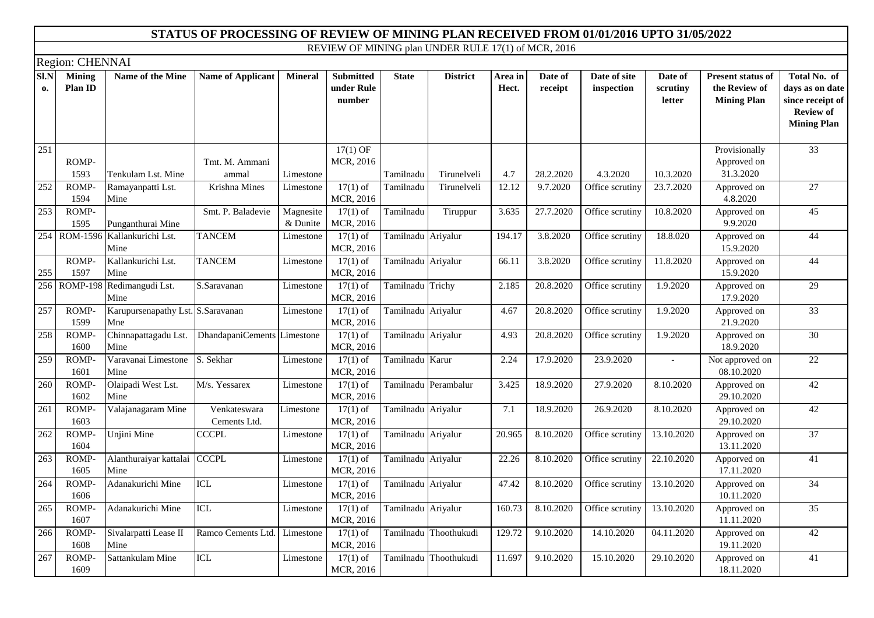|            | Region: CHENNAI                 |                                          |                              |                       |                                          |                    |                       |                  |                    |                            |                               |                                                                 |                                                                                               |
|------------|---------------------------------|------------------------------------------|------------------------------|-----------------------|------------------------------------------|--------------------|-----------------------|------------------|--------------------|----------------------------|-------------------------------|-----------------------------------------------------------------|-----------------------------------------------------------------------------------------------|
| SI.N<br>0. | <b>Mining</b><br><b>Plan ID</b> | <b>Name of the Mine</b>                  | <b>Name of Applicant</b>     | <b>Mineral</b>        | <b>Submitted</b><br>under Rule<br>number | <b>State</b>       | <b>District</b>       | Area in<br>Hect. | Date of<br>receipt | Date of site<br>inspection | Date of<br>scrutiny<br>letter | <b>Present status of</b><br>the Review of<br><b>Mining Plan</b> | Total No. of<br>days as on date<br>since receipt of<br><b>Review of</b><br><b>Mining Plan</b> |
| 251        | ROMP-<br>1593                   | Tenkulam Lst. Mine                       | Tmt. M. Ammani<br>ammal      | Limestone             | $17(1)$ OF<br>MCR, 2016                  | Tamilnadu          | Tirunelveli           | 4.7              | 28.2.2020          | 4.3.2020                   | 10.3.2020                     | Provisionally<br>Approved on<br>31.3.2020                       | 33                                                                                            |
| 252        | ROMP-<br>1594                   | Ramayanpatti Lst.<br>Mine                | Krishna Mines                | Limestone             | $17(1)$ of<br>MCR, 2016                  | Tamilnadu          | Tirunelveli           | 12.12            | 9.7.2020           | Office scrutiny            | 23.7.2020                     | Approved on<br>4.8.2020                                         | 27                                                                                            |
| 253        | ROMP-<br>1595                   | Punganthurai Mine                        | Smt. P. Baladevie            | Magnesite<br>& Dunite | $17(1)$ of<br>MCR, 2016                  | Tamilnadu          | Tiruppur              | 3.635            | 27.7.2020          | Office scrutiny            | 10.8.2020                     | Approved on<br>9.9.2020                                         | 45                                                                                            |
|            | 254 ROM-1596                    | Kallankurichi Lst.<br>Mine               | <b>TANCEM</b>                | Limestone             | $17(1)$ of<br>MCR, 2016                  | Tamilnadu Ariyalur |                       | 194.17           | 3.8.2020           | Office scrutiny            | 18.8.020                      | Approved on<br>15.9.2020                                        | 44                                                                                            |
| 255        | ROMP-<br>1597                   | Kallankurichi Lst.<br>Mine               | <b>TANCEM</b>                | Limestone             | $17(1)$ of<br>MCR, 2016                  | Tamilnadu Ariyalur |                       | 66.11            | 3.8.2020           | Office scrutiny            | 11.8.2020                     | Approved on<br>15.9.2020                                        | 44                                                                                            |
| 256        |                                 | ROMP-198 Redimangudi Lst.<br>Mine        | S.Saravanan                  | Limestone             | $17(1)$ of<br>MCR, 2016                  | Tamilnadu Trichy   |                       | 2.185            | 20.8.2020          | Office scrutiny            | 1.9.2020                      | Approved on<br>17.9.2020                                        | 29                                                                                            |
| 257        | ROMP-<br>1599                   | Karupursenapathy Lst. S.Saravanan<br>Mne |                              | Limestone             | $17(1)$ of<br>MCR, 2016                  | Tamilnadu Ariyalur |                       | 4.67             | 20.8.2020          | Office scrutiny            | 1.9.2020                      | Approved on<br>21.9.2020                                        | 33                                                                                            |
| 258        | ROMP-<br>1600                   | Chinnapattagadu Lst.<br>Mine             | DhandapaniCements Limestone  |                       | $17(1)$ of<br>MCR, 2016                  | Tamilnadu Ariyalur |                       | 4.93             | 20.8.2020          | Office scrutiny            | 1.9.2020                      | Approved on<br>18.9.2020                                        | $\overline{30}$                                                                               |
| 259        | ROMP-<br>1601                   | Varavanai Limestone<br>Mine              | S. Sekhar                    | Limestone             | $17(1)$ of<br>MCR, 2016                  | Tamilnadu Karur    |                       | 2.24             | 17.9.2020          | 23.9.2020                  | $\overline{\phantom{a}}$      | Not approved on<br>08.10.2020                                   | 22                                                                                            |
| 260        | ROMP-<br>1602                   | Olaipadi West Lst.<br>Mine               | M/s. Yessarex                | Limestone             | $17(1)$ of<br>MCR, 2016                  |                    | Tamilnadu Perambalur  | 3.425            | 18.9.2020          | 27.9.2020                  | 8.10.2020                     | Approved on<br>29.10.2020                                       | 42                                                                                            |
| 261        | ROMP-<br>1603                   | Valajanagaram Mine                       | Venkateswara<br>Cements Ltd. | Limestone             | $17(1)$ of<br>MCR, 2016                  | Tamilnadu Ariyalur |                       | 7.1              | 18.9.2020          | $\overline{26.9.2020}$     | 8.10.2020                     | Approved on<br>29.10.2020                                       | 42                                                                                            |
| 262        | ROMP-<br>1604                   | Unjini Mine                              | <b>CCCPL</b>                 | Limestone             | $17(1)$ of<br>MCR, 2016                  | Tamilnadu Ariyalur |                       | 20.965           | 8.10.2020          | Office scrutiny            | 13.10.2020                    | Approved on<br>13.11.2020                                       | $\overline{37}$                                                                               |
| 263        | ROMP-<br>1605                   | Alanthuraiyar kattalai<br>Mine           | <b>CCCPL</b>                 | Limestone             | $17(1)$ of<br>MCR, 2016                  | Tamilnadu Ariyalur |                       | 22.26            | 8.10.2020          | Office scrutiny            | 22.10.2020                    | Apporved on<br>17.11.2020                                       | $\overline{41}$                                                                               |
| 264        | ROMP-<br>1606                   | Adanakurichi Mine                        | ICL                          | Limestone             | $17(1)$ of<br>MCR, 2016                  | Tamilnadu Ariyalur |                       | 47.42            | 8.10.2020          | Office scrutiny            | $\overline{13.10.2020}$       | Approved on<br>10.11.2020                                       | $\overline{34}$                                                                               |
| 265        | ROMP-<br>1607                   | Adanakurichi Mine                        | ICL                          | Limestone             | $17(1)$ of<br>MCR, 2016                  | Tamilnadu Ariyalur |                       | 160.73           | 8.10.2020          | Office scrutiny            | 13.10.2020                    | Approved on<br>11.11.2020                                       | $\overline{35}$                                                                               |
| 266        | ROMP-<br>1608                   | Sivalarpatti Lease II<br>Mine            | Ramco Cements Ltd.           | Limestone             | $17(1)$ of<br>MCR, 2016                  |                    | Tamilnadu Thoothukudi | 129.72           | 9.10.2020          | 14.10.2020                 | 04.11.2020                    | Approved on<br>19.11.2020                                       | 42                                                                                            |
| 267        | ROMP-<br>1609                   | Sattankulam Mine                         | <b>ICL</b>                   | Limestone             | $17(1)$ of<br>MCR, 2016                  |                    | Tamilnadu Thoothukudi | 11.697           | 9.10.2020          | 15.10.2020                 | 29.10.2020                    | Approved on<br>18.11.2020                                       | 41                                                                                            |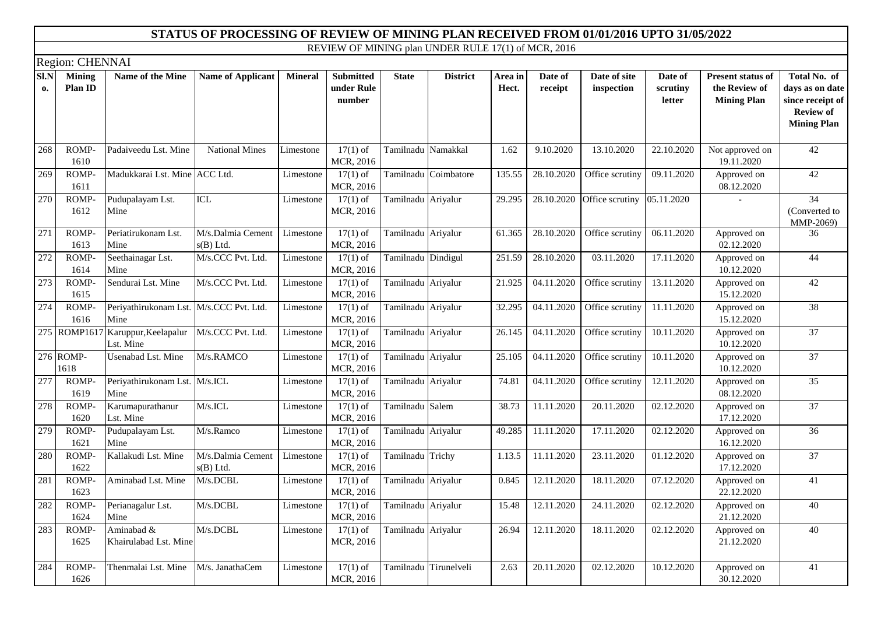|            | Region: CHENNAI          |                                                |                                  |                |                                          |                       |                      |                  |                    |                            |                               |                                                                 |                                                                                               |
|------------|--------------------------|------------------------------------------------|----------------------------------|----------------|------------------------------------------|-----------------------|----------------------|------------------|--------------------|----------------------------|-------------------------------|-----------------------------------------------------------------|-----------------------------------------------------------------------------------------------|
| SI.N<br>0. | <b>Mining</b><br>Plan ID | Name of the Mine                               | <b>Name of Applicant</b>         | <b>Mineral</b> | <b>Submitted</b><br>under Rule<br>number | <b>State</b>          | <b>District</b>      | Area in<br>Hect. | Date of<br>receipt | Date of site<br>inspection | Date of<br>scrutiny<br>letter | <b>Present status of</b><br>the Review of<br><b>Mining Plan</b> | Total No. of<br>days as on date<br>since receipt of<br><b>Review of</b><br><b>Mining Plan</b> |
| 268        | ROMP-<br>1610            | Padaiveedu Lst. Mine                           | <b>National Mines</b>            | Limestone      | $17(1)$ of<br>MCR, 2016                  | Tamilnadu Namakkal    |                      | 1.62             | 9.10.2020          | 13.10.2020                 | 22.10.2020                    | Not approved on<br>19.11.2020                                   | 42                                                                                            |
| 269        | ROMP-<br>1611            | Madukkarai Lst. Mine ACC Ltd.                  |                                  | Limestone      | $17(1)$ of<br>MCR, 2016                  |                       | Tamilnadu Coimbatore | 135.55           | 28.10.2020         | Office scrutiny            | 09.11.2020                    | Approved on<br>08.12.2020                                       | 42                                                                                            |
| 270        | ROMP-<br>1612            | Pudupalayam Lst.<br>Mine                       | <b>ICL</b>                       | Limestone      | $17(1)$ of<br>MCR, 2016                  | Tamilnadu Ariyalur    |                      | 29.295           | 28.10.2020         | Office scrutiny            | 05.11.2020                    |                                                                 | 34<br>(Converted to)<br>MMP-2069)                                                             |
| 271        | ROMP-<br>1613            | Periatirukonam Lst.<br>Mine                    | M/s.Dalmia Cement<br>$s(B)$ Ltd. | Limestone      | $17(1)$ of<br>MCR, 2016                  | Tamilnadu Ariyalur    |                      | 61.365           | 28.10.2020         | Office scrutiny            | 06.11.2020                    | Approved on<br>02.12.2020                                       | 36                                                                                            |
| 272        | ROMP-<br>1614            | Seethainagar Lst.<br>Mine                      | M/s.CCC Pvt. Ltd.                | Limestone      | $17(1)$ of<br>MCR, 2016                  | Tamilnadu Dindigul    |                      | 251.59           | 28.10.2020         | 03.11.2020                 | $\overline{17.11.2020}$       | Approved on<br>10.12.2020                                       | 44                                                                                            |
| 273        | ROMP-<br>1615            | Sendurai Lst. Mine                             | M/s.CCC Pvt. Ltd.                | Limestone      | $17(1)$ of<br>MCR, 2016                  | Tamilnadu Ariyalur    |                      | 21.925           | 04.11.2020         | Office scrutiny            | 13.11.2020                    | Approved on<br>15.12.2020                                       | 42                                                                                            |
| 274        | ROMP-<br>1616            | Periyathirukonam Lst.<br>Mine                  | M/s.CCC Pvt. Ltd.                | Limestone      | $17(1)$ of<br>MCR, 2016                  | Tamilnadu Ariyalur    |                      | 32.295           | 04.11.2020         | Office scrutiny            | 11.11.2020                    | Approved on<br>15.12.2020                                       | $\overline{38}$                                                                               |
|            |                          | 275 ROMP1617 Karuppur, Keelapalur<br>Lst. Mine | M/s.CCC Pvt. Ltd.                | Limestone      | $17(1)$ of<br>MCR, 2016                  | Tamilnadu Ariyalur    |                      | 26.145           | 04.11.2020         | Office scrutiny            | 10.11.2020                    | Approved on<br>10.12.2020                                       | $\overline{37}$                                                                               |
|            | 276 ROMP-<br>1618        | Usenabad Lst. Mine                             | M/s.RAMCO                        | Limestone      | $17(1)$ of<br>MCR, 2016                  | Tamilnadu Ariyalur    |                      | 25.105           | 04.11.2020         | Office scrutiny            | 10.11.2020                    | Approved on<br>10.12.2020                                       | $\overline{37}$                                                                               |
| 277        | ROMP-<br>1619            | Periyathirukonam Lst.<br>Mine                  | M/s.ICL                          | Limestone      | $17(1)$ of<br>MCR, 2016                  | Tamilnadu Ariyalur    |                      | 74.81            | 04.11.2020         | Office scrutiny            | 12.11.2020                    | Approved on<br>08.12.2020                                       | $\overline{35}$                                                                               |
| 278        | ROMP-<br>1620            | Karumapurathanur<br>Lst. Mine                  | M/s.ICL                          | Limestone      | $17(1)$ of<br>MCR, 2016                  | Tamilnadu Salem       |                      | 38.73            | 11.11.2020         | 20.11.2020                 | 02.12.2020                    | Approved on<br>17.12.2020                                       | $\overline{37}$                                                                               |
| 279        | ROMP-<br>1621            | Pudupalayam Lst.<br>Mine                       | M/s.Ramco                        | Limestone      | $17(1)$ of<br>MCR, 2016                  | Tamilnadu Ariyalur    |                      | 49.285           | 11.11.2020         | 17.11.2020                 | 02.12.2020                    | Approved on<br>16.12.2020                                       | $\overline{36}$                                                                               |
| 280        | ROMP-<br>1622            | Kallakudi Lst. Mine                            | M/s.Dalmia Cement<br>$s(B)$ Ltd. | Limestone      | $17(1)$ of<br>MCR, 2016                  | Tamilnadu Trichy      |                      | 1.13.5           | 11.11.2020         | 23.11.2020                 | 01.12.2020                    | Approved on<br>17.12.2020                                       | $\overline{37}$                                                                               |
| 281        | ROMP-<br>1623            | Aminabad Lst. Mine                             | M/s.DCBL                         | Limestone      | $17(1)$ of<br>MCR, 2016                  | Tamilnadu Ariyalur    |                      | 0.845            | 12.11.2020         | 18.11.2020                 | 07.12.2020                    | Approved on<br>22.12.2020                                       | 41                                                                                            |
| 282        | ROMP-<br>1624            | Perianagalur Lst.<br>Mine                      | M/s.DCBL                         | Limestone      | $17(1)$ of<br>MCR, 2016                  | Tamilnadu Ariyalur    |                      | 15.48            | 12.11.2020         | 24.11.2020                 | 02.12.2020                    | Approved on<br>21.12.2020                                       | 40                                                                                            |
| 283        | ROMP-<br>1625            | Aminabad &<br>Khairulabad Lst. Mine            | M/s.DCBL                         | Limestone      | $17(1)$ of<br>MCR, 2016                  | Tamilnadu Ariyalur    |                      | 26.94            | 12.11.2020         | 18.11.2020                 | 02.12.2020                    | Approved on<br>21.12.2020                                       | 40                                                                                            |
| 284        | ROMP-<br>1626            | Thenmalai Lst. Mine                            | M/s. JanathaCem                  | Limestone      | $17(1)$ of<br>MCR, 2016                  | Tamilnadu Tirunelveli |                      | 2.63             | 20.11.2020         | 02.12.2020                 | 10.12.2020                    | Approved on<br>30.12.2020                                       | $\overline{41}$                                                                               |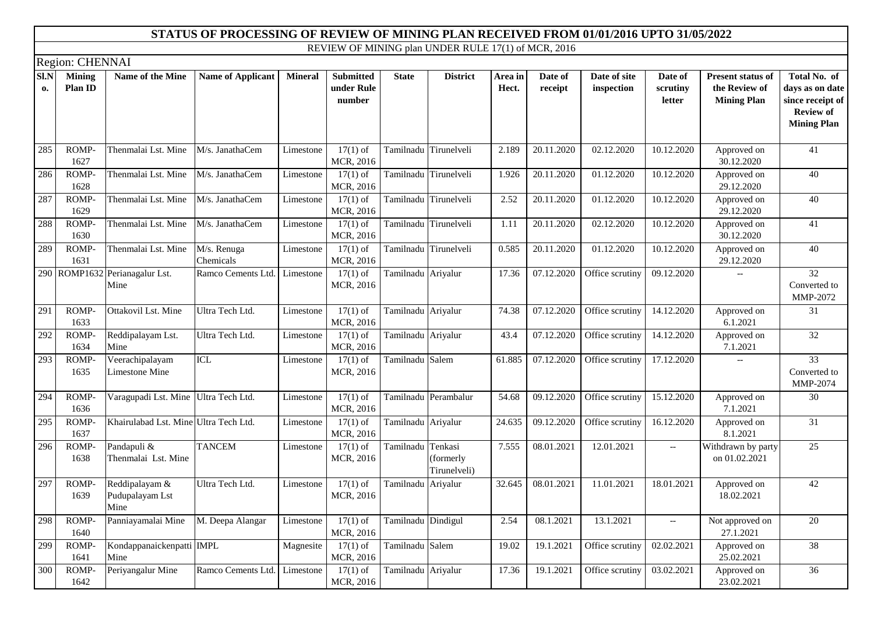|            | Region: CHENNAI                 |                                           |                          |                |                                          |                       |                                      |                  |                    |                            |                                                     |                                                                 |                                                                                               |
|------------|---------------------------------|-------------------------------------------|--------------------------|----------------|------------------------------------------|-----------------------|--------------------------------------|------------------|--------------------|----------------------------|-----------------------------------------------------|-----------------------------------------------------------------|-----------------------------------------------------------------------------------------------|
| SI.N<br>0. | <b>Mining</b><br><b>Plan ID</b> | <b>Name of the Mine</b>                   | Name of Applicant        | <b>Mineral</b> | <b>Submitted</b><br>under Rule<br>number | <b>State</b>          | <b>District</b>                      | Area in<br>Hect. | Date of<br>receipt | Date of site<br>inspection | Date of<br>scrutiny<br>letter                       | <b>Present status of</b><br>the Review of<br><b>Mining Plan</b> | Total No. of<br>days as on date<br>since receipt of<br><b>Review of</b><br><b>Mining Plan</b> |
| 285        | $ROMP-$<br>1627                 | Thenmalai Lst. Mine                       | M/s. JanathaCem          | Limestone      | $17(1)$ of<br>MCR, 2016                  |                       | Tamilnadu Tirunelveli                | 2.189            | 20.11.2020         | 02.12.2020                 | 10.12.2020                                          | Approved on<br>30.12.2020                                       | 41                                                                                            |
| 286        | ROMP-<br>1628                   | Thenmalai Lst. Mine                       | M/s. JanathaCem          | Limestone      | $\overline{17(1)}$ of<br>MCR, 2016       |                       | Tamilnadu Tirunelveli                | 1.926            | 20.11.2020         | 01.12.2020                 | 10.12.2020                                          | Approved on<br>29.12.2020                                       | $\overline{40}$                                                                               |
| 287        | ROMP-<br>1629                   | Thenmalai Lst. Mine                       | M/s. JanathaCem          | Limestone      | $17(1)$ of<br>MCR, 2016                  |                       | Tamilnadu Tirunelveli                | 2.52             | 20.11.2020         | 01.12.2020                 | 10.12.2020                                          | Approved on<br>29.12.2020                                       | 40                                                                                            |
| 288        | ROMP-<br>1630                   | Thenmalai Lst. Mine                       | M/s. JanathaCem          | Limestone      | $17(1)$ of<br>MCR, 2016                  | Tamilnadu Tirunelveli |                                      | 1.11             | 20.11.2020         | 02.12.2020                 | 10.12.2020                                          | Approved on<br>30.12.2020                                       | $\overline{41}$                                                                               |
| 289        | ROMP-<br>1631                   | Thenmalai Lst. Mine                       | M/s. Renuga<br>Chemicals | Limestone      | $17(1)$ of<br>MCR, 2016                  |                       | Tamilnadu Tirunelveli                | 0.585            | 20.11.2020         | 01.12.2020                 | 10.12.2020                                          | Approved on<br>29.12.2020                                       | 40                                                                                            |
|            |                                 | 290 ROMP1632 Perianagalur Lst.<br>Mine    | Ramco Cements Ltd.       | Limestone      | $17(1)$ of<br>MCR, 2016                  | Tamilnadu Ariyalur    |                                      | 17.36            | 07.12.2020         | Office scrutiny            | 09.12.2020                                          |                                                                 | 32<br>Converted to<br>MMP-2072                                                                |
| 291        | ROMP-<br>1633                   | Ottakovil Lst. Mine                       | Ultra Tech Ltd.          | Limestone      | $17(1)$ of<br>MCR, 2016                  | Tamilnadu Ariyalur    |                                      | 74.38            | 07.12.2020         | Office scrutiny            | 14.12.2020                                          | Approved on<br>6.1.2021                                         | $\overline{31}$                                                                               |
| 292        | ROMP-<br>1634                   | Reddipalayam Lst.<br>Mine                 | Ultra Tech Ltd.          | Limestone      | $17(1)$ of<br>MCR, 2016                  | Tamilnadu Ariyalur    |                                      | 43.4             | 07.12.2020         | Office scrutiny            | 14.12.2020                                          | Approved on<br>7.1.2021                                         | $\overline{32}$                                                                               |
| 293        | ROMP-<br>1635                   | Veerachipalayam<br>Limestone Mine         | ICL                      | Limestone      | $17(1)$ of<br>MCR, 2016                  | Tamilnadu Salem       |                                      | 61.885           | 07.12.2020         | Office scrutiny            | 17.12.2020                                          | $\overline{\phantom{0}}$                                        | 33<br>Converted to<br>MMP-2074                                                                |
| 294        | ROMP-<br>1636                   | Varagupadi Lst. Mine Ultra Tech Ltd.      |                          | Limestone      | $17(1)$ of<br>MCR, 2016                  |                       | Tamilnadu Perambalur                 | 54.68            | 09.12.2020         | Office scrutiny            | 15.12.2020                                          | Approved on<br>7.1.2021                                         | $\overline{30}$                                                                               |
| 295        | ROMP-<br>1637                   | Khairulabad Lst. Mine Ultra Tech Ltd.     |                          | Limestone      | $17(1)$ of<br>MCR, 2016                  | Tamilnadu Ariyalur    |                                      | 24.635           | 09.12.2020         | Office scrutiny            | 16.12.2020                                          | Approved on<br>8.1.2021                                         | $\overline{31}$                                                                               |
| 296        | ROMP-<br>1638                   | Pandapuli &<br>Thenmalai Lst. Mine        | <b>TANCEM</b>            | Limestone      | $17(1)$ of<br>MCR, 2016                  | Tamilnadu             | Tenkasi<br>(formerly<br>Tirunelveli) | 7.555            | 08.01.2021         | 12.01.2021                 | $\hspace{0.05cm} -\hspace{0.05cm} -\hspace{0.05cm}$ | Withdrawn by party<br>on 01.02.2021                             | 25                                                                                            |
| 297        | ROMP-<br>1639                   | Reddipalayam &<br>Pudupalayam Lst<br>Mine | Ultra Tech Ltd.          | Limestone      | $17(1)$ of<br>MCR, 2016                  | Tamilnadu Ariyalur    |                                      | 32.645           | 08.01.2021         | 11.01.2021                 | 18.01.2021                                          | Approved on<br>18.02.2021                                       | $\overline{42}$                                                                               |
| 298        | ROMP-<br>1640                   | Panniayamalai Mine                        | M. Deepa Alangar         | Limestone      | $17(1)$ of<br>MCR, 2016                  | Tamilnadu Dindigul    |                                      | 2.54             | 08.1.2021          | 13.1.2021                  | $\hspace{0.05cm} -\hspace{0.05cm} -\hspace{0.05cm}$ | Not approved on<br>27.1.2021                                    | 20                                                                                            |
| 299        | ROMP-<br>1641                   | Kondappanaickenpatti IMPL<br>Mine         |                          | Magnesite      | $17(1)$ of<br>MCR, 2016                  | Tamilnadu Salem       |                                      | 19.02            | 19.1.2021          | Office scrutiny            | 02.02.2021                                          | Approved on<br>25.02.2021                                       | 38                                                                                            |
| 300        | ROMP-<br>1642                   | Periyangalur Mine                         | Ramco Cements Ltd.       | Limestone      | $17(1)$ of<br>MCR, 2016                  | Tamilnadu Ariyalur    |                                      | 17.36            | 19.1.2021          | Office scrutiny            | 03.02.2021                                          | Approved on<br>23.02.2021                                       | $\overline{36}$                                                                               |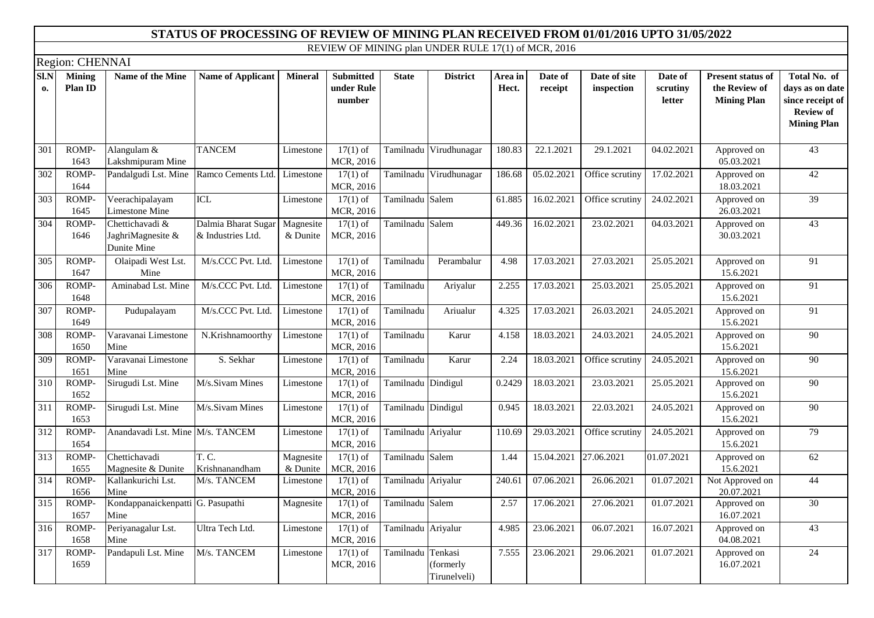|                  | Region: CHENNAI          |                                                     |                                          |                       |                                          |                    |                                     |                  |                    |                            |                               |                                                                 |                                                                                               |
|------------------|--------------------------|-----------------------------------------------------|------------------------------------------|-----------------------|------------------------------------------|--------------------|-------------------------------------|------------------|--------------------|----------------------------|-------------------------------|-----------------------------------------------------------------|-----------------------------------------------------------------------------------------------|
| SI.N<br>0.       | <b>Mining</b><br>Plan ID | Name of the Mine                                    | <b>Name of Applicant</b>                 | <b>Mineral</b>        | <b>Submitted</b><br>under Rule<br>number | <b>State</b>       | <b>District</b>                     | Area in<br>Hect. | Date of<br>receipt | Date of site<br>inspection | Date of<br>scrutiny<br>letter | <b>Present status of</b><br>the Review of<br><b>Mining Plan</b> | Total No. of<br>days as on date<br>since receipt of<br><b>Review of</b><br><b>Mining Plan</b> |
| 301              | ROMP-<br>1643            | Alangulam &<br>Lakshmipuram Mine                    | <b>TANCEM</b>                            | Limestone             | $17(1)$ of<br>MCR, 2016                  |                    | Tamilnadu Virudhunagar              | 180.83           | 22.1.2021          | 29.1.2021                  | 04.02.2021                    | Approved on<br>05.03.2021                                       | 43                                                                                            |
| $\overline{302}$ | ROMP-<br>1644            | Pandalgudi Lst. Mine                                | Ramco Cements Ltd. Limestone             |                       | $17(1)$ of<br>MCR, 2016                  |                    | Tamilnadu Virudhunagar              | 186.68           | 05.02.2021         | Office scrutiny            | 17.02.2021                    | Approved on<br>18.03.2021                                       | $\overline{42}$                                                                               |
| 303              | ROMP-<br>1645            | Veerachipalayam<br>Limestone Mine                   | ICL                                      | Limestone             | $17(1)$ of<br>MCR, 2016                  | Tamilnadu Salem    |                                     | 61.885           | 16.02.2021         | Office scrutiny            | 24.02.2021                    | Approved on<br>26.03.2021                                       | $\overline{39}$                                                                               |
| 304              | ROMP-<br>1646            | Chettichavadi &<br>JaghriMagnesite &<br>Dunite Mine | Dalmia Bharat Sugar<br>& Industries Ltd. | Magnesite<br>& Dunite | $17(1)$ of<br>MCR, 2016                  | Tamilnadu Salem    |                                     | 449.36           | 16.02.2021         | 23.02.2021                 | 04.03.2021                    | Approved on<br>30.03.2021                                       | 43                                                                                            |
| 305              | ROMP-<br>1647            | Olaipadi West Lst.<br>Mine                          | M/s.CCC Pvt. Ltd.                        | Limestone             | $17(1)$ of<br>MCR, 2016                  | Tamilnadu          | Perambalur                          | 4.98             | 17.03.2021         | 27.03.2021                 | 25.05.2021                    | Approved on<br>15.6.2021                                        | 91                                                                                            |
| 306              | ROMP-<br>1648            | Aminabad Lst. Mine                                  | M/s.CCC Pvt. Ltd.                        | Limestone             | $17(1)$ of<br>MCR, 2016                  | Tamilnadu          | Ariyalur                            | 2.255            | 17.03.2021         | 25.03.2021                 | 25.05.2021                    | Approved on<br>15.6.2021                                        | 91                                                                                            |
| 307              | ROMP-<br>1649            | Pudupalayam                                         | M/s.CCC Pvt. Ltd.                        | Limestone             | $17(1)$ of<br>MCR, 2016                  | Tamilnadu          | Ariualur                            | 4.325            | 17.03.2021         | 26.03.2021                 | 24.05.2021                    | Approved on<br>15.6.2021                                        | 91                                                                                            |
| 308              | ROMP-<br>1650            | Varavanai Limestone<br>Mine                         | N.Krishnamoorthy                         | Limestone             | $17(1)$ of<br>MCR, 2016                  | Tamilnadu          | Karur                               | 4.158            | 18.03.2021         | 24.03.2021                 | 24.05.2021                    | Approved on<br>15.6.2021                                        | $\overline{90}$                                                                               |
| 309              | ROMP-<br>1651            | Varavanai Limestone<br>Mine                         | S. Sekhar                                | Limestone             | $17(1)$ of<br>MCR, 2016                  | Tamilnadu          | Karur                               | 2.24             | 18.03.2021         | Office scrutiny            | 24.05.2021                    | Approved on<br>15.6.2021                                        | $\overline{90}$                                                                               |
| 310              | ROMP-<br>1652            | Sirugudi Lst. Mine                                  | M/s.Sivam Mines                          | Limestone             | $17(1)$ of<br>MCR, 2016                  | Tamilnadu Dindigul |                                     | 0.2429           | 18.03.2021         | 23.03.2021                 | 25.05.2021                    | Approved on<br>15.6.2021                                        | $\overline{90}$                                                                               |
| $\overline{311}$ | ROMP-<br>1653            | Sirugudi Lst. Mine                                  | M/s.Sivam Mines                          | Limestone             | $17(1)$ of<br>MCR, 2016                  | Tamilnadu Dindigul |                                     | 0.945            | 18.03.2021         | 22.03.2021                 | 24.05.2021                    | Approved on<br>15.6.2021                                        | $\overline{90}$                                                                               |
| 312              | ROMP-<br>1654            | Anandavadi Lst. Mine M/s. TANCEM                    |                                          | Limestone             | $17(1)$ of<br>MCR, 2016                  | Tamilnadu Ariyalur |                                     | 110.69           | 29.03.2021         | Office scrutiny            | 24.05.2021                    | Approved on<br>15.6.2021                                        | 79                                                                                            |
| 313              | ROMP-<br>1655            | Chettichavadi<br>Magnesite & Dunite                 | T. C.<br>Krishnanandham                  | Magnesite<br>& Dunite | $17(1)$ of<br>MCR, 2016                  | Tamilnadu Salem    |                                     | 1.44             | 15.04.2021         | 27.06.2021                 | 01.07.2021                    | Approved on<br>15.6.2021                                        | $\overline{62}$                                                                               |
| 314              | ROMP-<br>1656            | Kallankurichi Lst.<br>Mine                          | M/s. TANCEM                              | Limestone             | $17(1)$ of<br>MCR, 2016                  | Tamilnadu Ariyalur |                                     | 240.61           | 07.06.2021         | 26.06.2021                 | 01.07.2021                    | Not Approved on<br>20.07.2021                                   | 44                                                                                            |
| 315              | ROMP-<br>1657            | Kondappanaickenpatti G. Pasupathi<br>Mine           |                                          | Magnesite             | $17(1)$ of<br>MCR, 2016                  | Tamilnadu Salem    |                                     | 2.57             | 17.06.2021         | 27.06.2021                 | 01.07.2021                    | Approved on<br>16.07.2021                                       | 30                                                                                            |
| 316              | ROMP-<br>1658            | Periyanagalur Lst.<br>Mine                          | Ultra Tech Ltd.                          | Limestone             | $17(1)$ of<br>MCR, 2016                  | Tamilnadu Ariyalur |                                     | 4.985            | 23.06.2021         | 06.07.2021                 | 16.07.2021                    | Approved on<br>04.08.2021                                       | 43                                                                                            |
| $\overline{317}$ | ROMP-<br>1659            | Pandapuli Lst. Mine                                 | M/s. TANCEM                              | Limestone             | $17(1)$ of<br>MCR, 2016                  | Tamilnadu          | Tenkasi<br>formerly<br>Tirunelveli) | 7.555            | 23.06.2021         | 29.06.2021                 | 01.07.2021                    | Approved on<br>16.07.2021                                       | 24                                                                                            |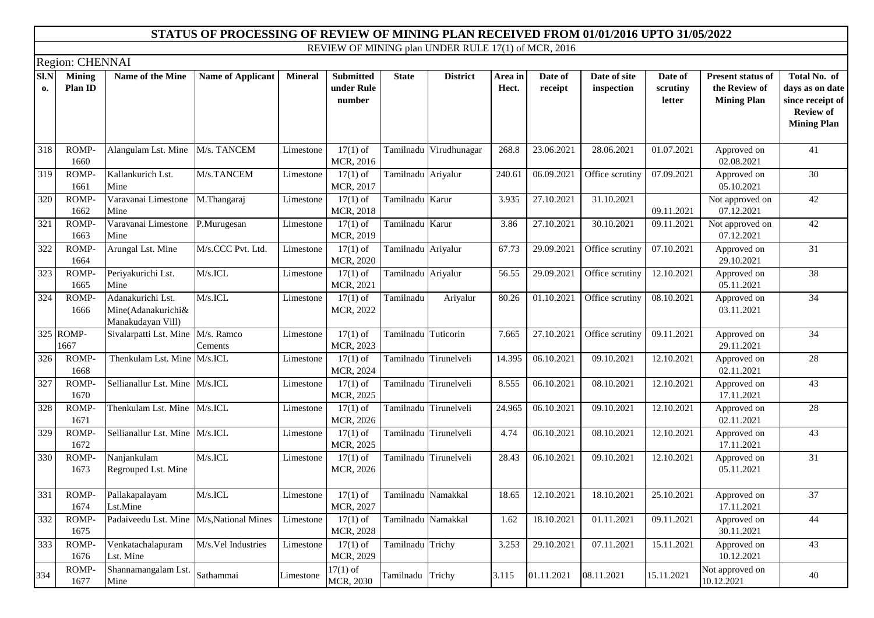|                  | Region: CHENNAI          |                                                              |                          |                |                                          |                     |                       |                  |                    |                            |                               |                                                                 |                                                                                               |
|------------------|--------------------------|--------------------------------------------------------------|--------------------------|----------------|------------------------------------------|---------------------|-----------------------|------------------|--------------------|----------------------------|-------------------------------|-----------------------------------------------------------------|-----------------------------------------------------------------------------------------------|
| SI.N<br>0.       | <b>Mining</b><br>Plan ID | Name of the Mine                                             | <b>Name of Applicant</b> | <b>Mineral</b> | <b>Submitted</b><br>under Rule<br>number | <b>State</b>        | <b>District</b>       | Area in<br>Hect. | Date of<br>receipt | Date of site<br>inspection | Date of<br>scrutiny<br>letter | <b>Present status of</b><br>the Review of<br><b>Mining Plan</b> | Total No. of<br>days as on date<br>since receipt of<br><b>Review of</b><br><b>Mining Plan</b> |
| 318              | ROMP-<br>1660            | Alangulam Lst. Mine                                          | M/s. TANCEM              | Limestone      | $17(1)$ of<br>MCR, 2016                  | Tamilnadu           | Virudhunagar          | 268.8            | 23.06.2021         | 28.06.2021                 | 01.07.2021                    | Approved on<br>02.08.2021                                       | 41                                                                                            |
| 319              | ROMP-<br>1661            | Kallankurich Lst.<br>Mine                                    | M/s.TANCEM               | Limestone      | $17(1)$ of<br>MCR, 2017                  | Tamilnadu Ariyalur  |                       | 240.61           | 06.09.2021         | Office scrutiny            | 07.09.2021                    | Approved on<br>05.10.2021                                       | $\overline{30}$                                                                               |
| $\overline{320}$ | ROMP-<br>1662            | Varavanai Limestone<br>Mine                                  | M.Thangaraj              | Limestone      | $17(1)$ of<br>MCR, 2018                  | Tamilnadu Karur     |                       | 3.935            | 27.10.2021         | 31.10.2021                 | 09.11.2021                    | Not approved on<br>07.12.2021                                   | 42                                                                                            |
| 321              | ROMP-<br>1663            | Varavanai Limestone<br>Mine                                  | P.Murugesan              | Limestone      | $17(1)$ of<br>MCR, 2019                  | Tamilnadu Karur     |                       | 3.86             | 27.10.2021         | 30.10.2021                 | 09.11.2021                    | Not approved on<br>07.12.2021                                   | 42                                                                                            |
| 322              | ROMP-<br>1664            | Arungal Lst. Mine                                            | M/s.CCC Pvt. Ltd.        | Limestone      | $17(1)$ of<br>MCR, 2020                  | Tamilnadu Ariyalur  |                       | 67.73            | 29.09.2021         | Office scrutiny            | 07.10.2021                    | Approved on<br>29.10.2021                                       | 31                                                                                            |
| 323              | ROMP-<br>1665            | Periyakurichi Lst.<br>Mine                                   | $M/s$ . ICL              | Limestone      | $17(1)$ of<br>MCR, 2021                  | Tamilnadu Ariyalur  |                       | 56.55            | 29.09.2021         | Office scrutiny            | 12.10.2021                    | Approved on<br>05.11.2021                                       | $\overline{38}$                                                                               |
| 324              | ROMP-<br>1666            | Adanakurichi Lst.<br>Mine(Adanakurichi&<br>Manakudayan Vill) | $M/s.$ ICL               | Limestone      | $17(1)$ of<br>MCR, 2022                  | Tamilnadu           | Ariyalur              | 80.26            | 01.10.2021         | Office scrutiny            | 08.10.2021                    | Approved on<br>03.11.2021                                       | 34                                                                                            |
|                  | 325 ROMP-<br>1667        | Sivalarpatti Lst. Mine                                       | M/s. Ramco<br>Cements    | Limestone      | $17(1)$ of<br>MCR, 2023                  | Tamilnadu Tuticorin |                       | 7.665            | 27.10.2021         | Office scrutiny            | 09.11.2021                    | Approved on<br>29.11.2021                                       | 34                                                                                            |
| 326              | ROMP-<br>1668            | Thenkulam Lst. Mine M/s.ICL                                  |                          | Limestone      | $17(1)$ of<br>MCR, 2024                  |                     | Tamilnadu Tirunelveli | 14.395           | 06.10.2021         | 09.10.2021                 | 12.10.2021                    | Approved on<br>02.11.2021                                       | 28                                                                                            |
| 327              | ROMP-<br>1670            | Sellianallur Lst. Mine M/s.ICL                               |                          | Limestone      | $17(1)$ of<br>MCR, 2025                  |                     | Tamilnadu Tirunelveli | 8.555            | 06.10.2021         | 08.10.2021                 | 12.10.2021                    | Approved on<br>17.11.2021                                       | 43                                                                                            |
| 328              | ROMP-<br>1671            | Thenkulam Lst. Mine                                          | $M/s$ . ICL              | Limestone      | $17(1)$ of<br>MCR, 2026                  |                     | Tamilnadu Tirunelveli | 24.965           | 06.10.2021         | 09.10.2021                 | 12.10.2021                    | Approved on<br>02.11.2021                                       | 28                                                                                            |
| 329              | ROMP-<br>1672            | Sellianallur Lst. Mine M/s.ICL                               |                          | Limestone      | $17(1)$ of<br>MCR, 2025                  |                     | Tamilnadu Tirunelveli | 4.74             | 06.10.2021         | 08.10.2021                 | 12.10.2021                    | Approved on<br>17.11.2021                                       | $\overline{43}$                                                                               |
| 330              | ROMP-<br>1673            | Nanjankulam<br>Regrouped Lst. Mine                           | $M/s$ . ICL              | Limestone      | $17(1)$ of<br>MCR, 2026                  |                     | Tamilnadu Tirunelveli | 28.43            | 06.10.2021         | 09.10.2021                 | 12.10.2021                    | Approved on<br>05.11.2021                                       | 31                                                                                            |
| 331              | ROMP-<br>1674            | Pallakapalayam<br>Lst.Mine                                   | M/s.ICL                  | Limestone      | $17(1)$ of<br>MCR, 2027                  | Tamilnadu Namakkal  |                       | 18.65            | 12.10.2021         | 18.10.2021                 | 25.10.2021                    | Approved on<br>17.11.2021                                       | 37                                                                                            |
| 332              | ROMP-<br>1675            | Padaiveedu Lst. Mine                                         | M/s, National Mines      | Limestone      | $17(1)$ of<br>MCR, 2028                  | Tamilnadu           | Namakkal              | 1.62             | 18.10.2021         | 01.11.2021                 | 09.11.2021                    | Approved on<br>30.11.2021                                       | 44                                                                                            |
| 333              | ROMP-<br>1676            | Venkatachalapuram<br>Lst. Mine                               | M/s.Vel Industries       | Limestone      | $17(1)$ of<br>MCR, 2029                  | Tamilnadu Trichy    |                       | 3.253            | 29.10.2021         | 07.11.2021                 | 15.11.2021                    | Approved on<br>10.12.2021                                       | $\overline{43}$                                                                               |
| 334              | ROMP-<br>1677            | Shannamangalam Lst.<br>Mine                                  | Sathammai                | Limestone      | $17(1)$ of<br>MCR, 2030                  | Tamilnadu           | Trichy                | 3.115            | 01.11.2021         | 08.11.2021                 | 15.11.2021                    | Not approved on<br>10.12.2021                                   | 40                                                                                            |